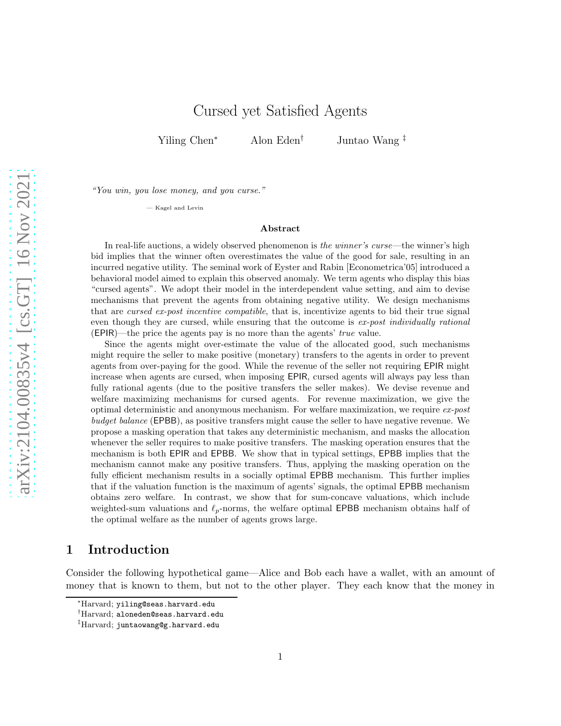## Cursed yet Satisfied Agents

Yiling Chen<sup>∗</sup> Alon Eden† Juntao Wang ‡

*"You win, you lose money, and you curse."*

— Kagel and Levin

#### Abstract

In real-life auctions, a widely observed phenomenon is *the winner's curse*—the winner's high bid implies that the winner often overestimates the value of the good for sale, resulting in an incurred negative utility. The seminal work of Eyster and Rabin [Econometrica'05] introduced a behavioral model aimed to explain this observed anomaly. We term agents who display this bias "cursed agents". We adopt their model in the interdependent value setting, and aim to devise mechanisms that prevent the agents from obtaining negative utility. We design mechanisms that are *cursed ex-post incentive compatible*, that is, incentivize agents to bid their true signal even though they are cursed, while ensuring that the outcome is *ex-post individually rational* (EPIR)—the price the agents pay is no more than the agents' *true* value.

Since the agents might over-estimate the value of the allocated good, such mechanisms might require the seller to make positive (monetary) transfers to the agents in order to prevent agents from over-paying for the good. While the revenue of the seller not requiring EPIR might increase when agents are cursed, when imposing EPIR, cursed agents will always pay less than fully rational agents (due to the positive transfers the seller makes). We devise revenue and welfare maximizing mechanisms for cursed agents. For revenue maximization, we give the optimal deterministic and anonymous mechanism. For welfare maximization, we require *ex-post budget balance* (**EPBB**), as positive transfers might cause the seller to have negative revenue. We propose a masking operation that takes any deterministic mechanism, and masks the allocation whenever the seller requires to make positive transfers. The masking operation ensures that the mechanism is both EPIR and EPBB. We show that in typical settings, EPBB implies that the mechanism cannot make any positive transfers. Thus, applying the masking operation on the fully efficient mechanism results in a socially optimal EPBB mechanism. This further implies that if the valuation function is the maximum of agents' signals, the optimal EPBB mechanism obtains zero welfare. In contrast, we show that for sum-concave valuations, which include weighted-sum valuations and  $\ell_p$ -norms, the welfare optimal EPBB mechanism obtains half of the optimal welfare as the number of agents grows large.

## 1 Introduction

Consider the following hypothetical game—Alice and Bob each have a wallet, with an amount of money that is known to them, but not to the other player. They each know that the money in

<sup>∗</sup>Harvard; yiling@seas.harvard.edu

<sup>†</sup>Harvard; aloneden@seas.harvard.edu

<sup>‡</sup>Harvard; juntaowang@g.harvard.edu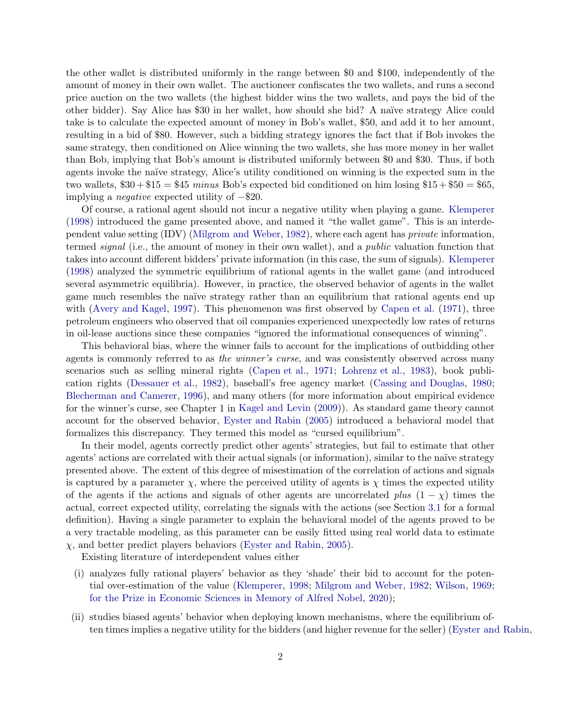the other wallet is distributed uniformly in the range between \$0 and \$100, independently of the amount of money in their own wallet. The auctioneer confiscates the two wallets, and runs a second price auction on the two wallets (the highest bidder wins the two wallets, and pays the bid of the other bidder). Say Alice has \$30 in her wallet, how should she bid? A naïve strategy Alice could take is to calculate the expected amount of money in Bob's wallet, \$50, and add it to her amount, resulting in a bid of \$80. However, such a bidding strategy ignores the fact that if Bob invokes the same strategy, then conditioned on Alice winning the two wallets, she has more money in her wallet than Bob, implying that Bob's amount is distributed uniformly between \$0 and \$30. Thus, if both agents invoke the naïve strategy, Alice's utility conditioned on winning is the expected sum in the two wallets,  $$30 + $15 = $45$  *minus* Bob's expected bid conditioned on him losing  $$15 + $50 = $65$ , implying a *negative* expected utility of −\$20.

Of course, a rational agent should not incur a negative utility when playing a game. [Klemperer](#page-28-0) [\(1998](#page-28-0)) introduced the game presented above, and named it "the wallet game". This is an interdependent value setting (IDV) [\(Milgrom and Weber](#page-29-0), [1982\)](#page-29-0), where each agent has *private* information, termed *signal* (i.e., the amount of money in their own wallet), and a *public* valuation function that takes into account different bidders' private information (in this case, the sum of signals). [Klemperer](#page-28-0) [\(1998](#page-28-0)) analyzed the symmetric equilibrium of rational agents in the wallet game (and introduced several asymmetric equilibria). However, in practice, the observed behavior of agents in the wallet game much resembles the naïve strategy rather than an equilibrium that rational agents end up with [\(Avery and Kagel,](#page-26-0) [1997](#page-26-0)). This phenomenon was first observed by [Capen et al.](#page-26-1) [\(1971](#page-26-1)), three petroleum engineers who observed that oil companies experienced unexpectedly low rates of returns in oil-lease auctions since these companies "ignored the informational consequences of winning".

This behavioral bias, where the winner fails to account for the implications of outbidding other agents is commonly referred to as *the winner's curse*, and was consistently observed across many scenarios such as selling mineral rights [\(Capen et al.](#page-26-1), [1971](#page-26-1); [Lohrenz et al.](#page-28-1), [1983\)](#page-28-1), book publication rights [\(Dessauer et al.,](#page-27-0) [1982](#page-27-0)), baseball's free agency market [\(Cassing and Douglas](#page-26-2), [1980](#page-26-2); [Blecherman and Camerer](#page-26-3), [1996](#page-26-3)), and many others (for more information about empirical evidence for the winner's curse, see Chapter 1 in [Kagel and Levin](#page-28-2) [\(2009](#page-28-2))). As standard game theory cannot account for the observed behavior, [Eyster and Rabin](#page-27-1) [\(2005](#page-27-1)) introduced a behavioral model that formalizes this discrepancy. They termed this model as "cursed equilibrium".

In their model, agents correctly predict other agents' strategies, but fail to estimate that other agents' actions are correlated with their actual signals (or information), similar to the naïve strategy presented above. The extent of this degree of misestimation of the correlation of actions and signals is captured by a parameter  $\chi$ , where the perceived utility of agents is  $\chi$  times the expected utility of the agents if the actions and signals of other agents are uncorrelated *plus*  $(1 - \chi)$  times the actual, correct expected utility, correlating the signals with the actions (see Section [3.1](#page-7-0) for a formal definition). Having a single parameter to explain the behavioral model of the agents proved to be a very tractable modeling, as this parameter can be easily fitted using real world data to estimate  $\chi$ , and better predict players behaviors [\(Eyster and Rabin](#page-27-1), [2005\)](#page-27-1).

Existing literature of interdependent values either

- (i) analyzes fully rational players' behavior as they 'shade' their bid to account for the potential over-estimation of the value [\(Klemperer,](#page-28-0) [1998](#page-28-0); [Milgrom and Weber,](#page-29-0) [1982](#page-29-0); [Wilson](#page-29-1), [1969](#page-29-1); [for the Prize in Economic Sciences in Memory of Alfred Nobel,](#page-27-2) [2020](#page-27-2));
- (ii) studies biased agents' behavior when deploying known mechanisms, where the equilibrium often times implies a negative utility for the bidders (and higher revenue for the seller) [\(Eyster and Rabin,](#page-27-1)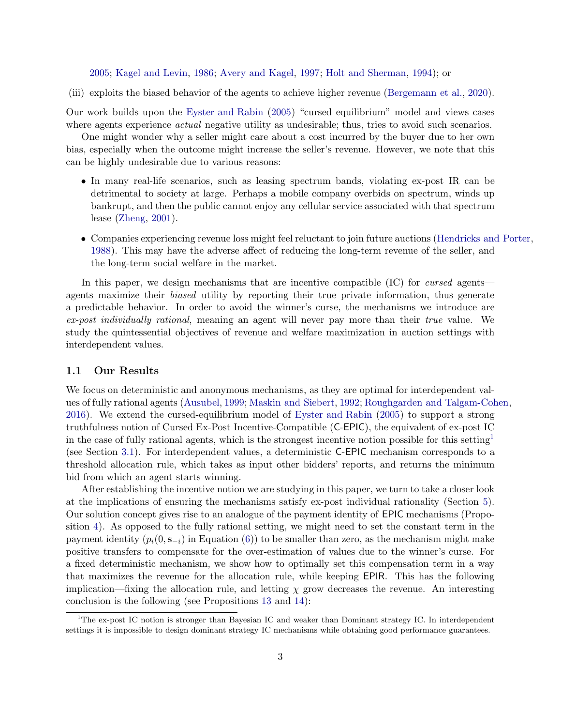[2005](#page-27-1); [Kagel and Levin,](#page-28-3) [1986](#page-28-3); [Avery and Kagel,](#page-26-0) [1997](#page-26-0); [Holt and Sherman,](#page-28-4) [1994\)](#page-28-4); or

(iii) exploits the biased behavior of the agents to achieve higher revenue [\(Bergemann et al.,](#page-26-4) [2020\)](#page-26-4).

Our work builds upon the [Eyster and Rabin](#page-27-1) [\(2005](#page-27-1)) "cursed equilibrium" model and views cases where agents experience *actual* negative utility as undesirable; thus, tries to avoid such scenarios.

One might wonder why a seller might care about a cost incurred by the buyer due to her own bias, especially when the outcome might increase the seller's revenue. However, we note that this can be highly undesirable due to various reasons:

- In many real-life scenarios, such as leasing spectrum bands, violating ex-post IR can be detrimental to society at large. Perhaps a mobile company overbids on spectrum, winds up bankrupt, and then the public cannot enjoy any cellular service associated with that spectrum lease [\(Zheng,](#page-29-2) [2001](#page-29-2)).
- Companies experiencing revenue loss might feel reluctant to join future auctions [\(Hendricks and Porter](#page-28-5), [1988](#page-28-5)). This may have the adverse affect of reducing the long-term revenue of the seller, and the long-term social welfare in the market.

In this paper, we design mechanisms that are incentive compatible (IC) for *cursed* agents agents maximize their *biased* utility by reporting their true private information, thus generate a predictable behavior. In order to avoid the winner's curse, the mechanisms we introduce are *ex-post individually rational*, meaning an agent will never pay more than their *true* value. We study the quintessential objectives of revenue and welfare maximization in auction settings with interdependent values.

#### 1.1 Our Results

We focus on deterministic and anonymous mechanisms, as they are optimal for interdependent values of fully rational agents [\(Ausubel,](#page-26-5) [1999;](#page-26-5) [Maskin and Siebert](#page-28-6), [1992](#page-28-6); [Roughgarden and Talgam-Cohen](#page-29-3), [2016\)](#page-29-3). We extend the cursed-equilibrium model of [Eyster and Rabin](#page-27-1) [\(2005](#page-27-1)) to support a strong truthfulness notion of Cursed Ex-Post Incentive-Compatible (C-EPIC), the equivalent of ex-post IC in the case of fully rational agents, which is the strongest incentive notion possible for this setting<sup>[1](#page-2-0)</sup> (see Section [3.1\)](#page-7-0). For interdependent values, a deterministic C-EPIC mechanism corresponds to a threshold allocation rule, which takes as input other bidders' reports, and returns the minimum bid from which an agent starts winning.

After establishing the incentive notion we are studying in this paper, we turn to take a closer look at the implications of ensuring the mechanisms satisfy ex-post individual rationality (Section [5\)](#page-13-0). Our solution concept gives rise to an analogue of the payment identity of EPIC mechanisms (Proposition [4\)](#page-11-0). As opposed to the fully rational setting, we might need to set the constant term in the payment identity  $(p_i(0, s_{-i})$  in Equation [\(6\)](#page-11-1)) to be smaller than zero, as the mechanism might make positive transfers to compensate for the over-estimation of values due to the winner's curse. For a fixed deterministic mechanism, we show how to optimally set this compensation term in a way that maximizes the revenue for the allocation rule, while keeping EPIR. This has the following implication—fixing the allocation rule, and letting  $\chi$  grow decreases the revenue. An interesting conclusion is the following (see Propositions [13](#page-15-0) and [14\)](#page-16-0):

<span id="page-2-0"></span><sup>&</sup>lt;sup>1</sup>The ex-post IC notion is stronger than Bayesian IC and weaker than Dominant strategy IC. In interdependent settings it is impossible to design dominant strategy IC mechanisms while obtaining good performance guarantees.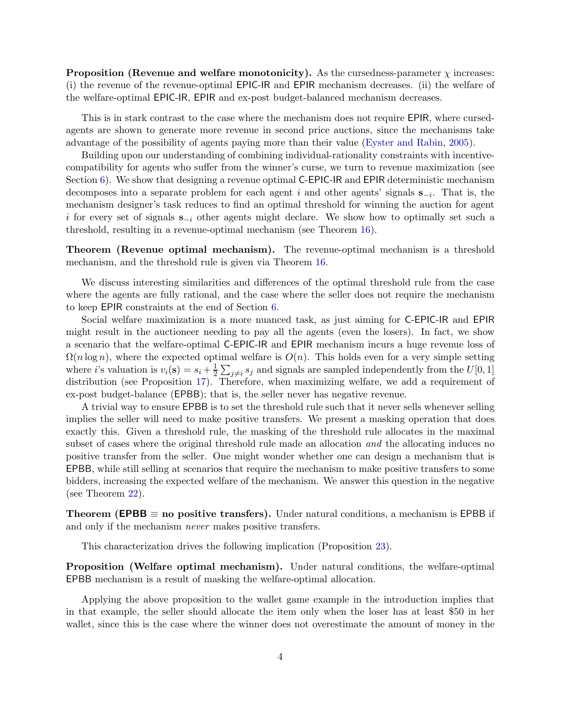**Proposition (Revenue and welfare monotonicity).** As the cursedness-parameter  $\chi$  increases: (i) the revenue of the revenue-optimal EPIC-IR and EPIR mechanism decreases. (ii) the welfare of the welfare-optimal EPIC-IR, EPIR and ex-post budget-balanced mechanism decreases.

This is in stark contrast to the case where the mechanism does not require EPIR, where cursedagents are shown to generate more revenue in second price auctions, since the mechanisms take advantage of the possibility of agents paying more than their value [\(Eyster and Rabin,](#page-27-1) [2005](#page-27-1)).

Building upon our understanding of combining individual-rationality constraints with incentivecompatibility for agents who suffer from the winner's curse, we turn to revenue maximization (see Section [6\)](#page-16-1). We show that designing a revenue optimal C-EPIC-IR and EPIR deterministic mechanism decomposes into a separate problem for each agent i and other agents' signals  $s_{-i}$ . That is, the mechanism designer's task reduces to find an optimal threshold for winning the auction for agent i for every set of signals  $s_{-i}$  other agents might declare. We show how to optimally set such a threshold, resulting in a revenue-optimal mechanism (see Theorem [16\)](#page-16-2).

Theorem (Revenue optimal mechanism). The revenue-optimal mechanism is a threshold mechanism, and the threshold rule is given via Theorem [16.](#page-16-2)

We discuss interesting similarities and differences of the optimal threshold rule from the case where the agents are fully rational, and the case where the seller does not require the mechanism to keep EPIR constraints at the end of Section [6.](#page-16-1)

Social welfare maximization is a more nuanced task, as just aiming for C-EPIC-IR and EPIR might result in the auctioneer needing to pay all the agents (even the losers). In fact, we show a scenario that the welfare-optimal C-EPIC-IR and EPIR mechanism incurs a huge revenue loss of  $\Omega(n \log n)$ , where the expected optimal welfare is  $O(n)$ . This holds even for a very simple setting where *i*'s valuation is  $v_i(\mathbf{s}) = s_i + \frac{1}{2}$  $\frac{1}{2} \sum_{j \neq i} s_j$  and signals are sampled independently from the  $U[0, 1]$ distribution (see Proposition [17\)](#page-18-0). Therefore, when maximizing welfare, we add a requirement of ex-post budget-balance (EPBB); that is, the seller never has negative revenue.

A trivial way to ensure EPBB is to set the threshold rule such that it never sells whenever selling implies the seller will need to make positive transfers. We present a masking operation that does exactly this. Given a threshold rule, the masking of the threshold rule allocates in the maximal subset of cases where the original threshold rule made an allocation *and* the allocating induces no positive transfer from the seller. One might wonder whether one can design a mechanism that is EPBB, while still selling at scenarios that require the mechanism to make positive transfers to some bidders, increasing the expected welfare of the mechanism. We answer this question in the negative (see Theorem [22\)](#page-21-0).

**Theorem (EPBB**  $\equiv$  **no** positive transfers). Under natural conditions, a mechanism is EPBB if and only if the mechanism *never* makes positive transfers.

This characterization drives the following implication (Proposition [23\)](#page-22-0).

Proposition (Welfare optimal mechanism). Under natural conditions, the welfare-optimal EPBB mechanism is a result of masking the welfare-optimal allocation.

Applying the above proposition to the wallet game example in the introduction implies that in that example, the seller should allocate the item only when the loser has at least \$50 in her wallet, since this is the case where the winner does not overestimate the amount of money in the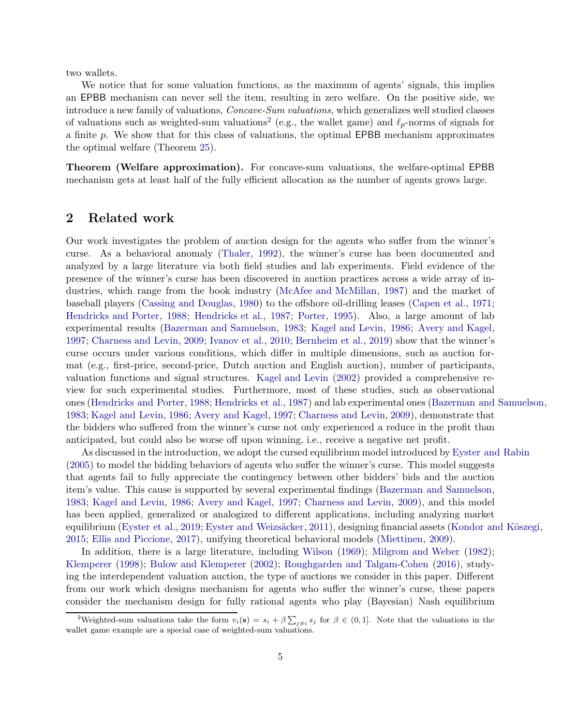two wallets.

We notice that for some valuation functions, as the maximum of agents' signals, this implies an EPBB mechanism can never sell the item, resulting in zero welfare. On the positive side, we introduce a new family of valuations, *Concave-Sum valuations*, which generalizes well studied classes of valuations such as weighted-sum valuations<sup>[2](#page-4-0)</sup> (e.g., the wallet game) and  $\ell_p$ -norms of signals for a finite p. We show that for this class of valuations, the optimal EPBB mechanism approximates the optimal welfare (Theorem [25\)](#page-23-0).

Theorem (Welfare approximation). For concave-sum valuations, the welfare-optimal EPBB mechanism gets at least half of the fully efficient allocation as the number of agents grows large.

## 2 Related work

Our work investigates the problem of auction design for the agents who suffer from the winner's curse. As a behavioral anomaly [\(Thaler](#page-29-4), [1992](#page-29-4)), the winner's curse has been documented and analyzed by a large literature via both field studies and lab experiments. Field evidence of the presence of the winner's curse has been discovered in auction practices across a wide array of industries, which range from the book industry [\(McAfee and McMillan](#page-28-7), [1987](#page-28-7)) and the market of baseball players [\(Cassing and Douglas](#page-26-2), [1980](#page-26-2)) to the offshore oil-drilling leases [\(Capen et al.](#page-26-1), [1971](#page-26-1); [Hendricks and Porter](#page-28-5), [1988](#page-28-5); [Hendricks et al.](#page-28-8), [1987](#page-28-8); [Porter](#page-29-5), [1995](#page-29-5)). Also, a large amount of lab experimental results [\(Bazerman and Samuelson,](#page-26-6) [1983](#page-26-6); [Kagel and Levin](#page-28-3), [1986](#page-28-3); [Avery and Kagel](#page-26-0), [1997;](#page-26-0) [Charness and Levin,](#page-26-7) [2009](#page-26-7); [Ivanov et al.](#page-28-9), [2010](#page-28-9); [Bernheim et al.](#page-26-8), [2019\)](#page-26-8) show that the winner's curse occurs under various conditions, which differ in multiple dimensions, such as auction format (e.g., first-price, second-price, Dutch auction and English auction), number of participants, valuation functions and signal structures. [Kagel and Levin](#page-28-10) [\(2002](#page-28-10)) provided a comprehensive review for such experimental studies. Furthermore, most of these studies, such as observational ones [\(Hendricks and Porter](#page-28-5), [1988](#page-28-5); [Hendricks et al.](#page-28-8), [1987](#page-28-8)) and lab experimental ones [\(Bazerman and Samuelson](#page-26-6), [1983;](#page-26-6) [Kagel and Levin](#page-28-3), [1986;](#page-28-3) [Avery and Kagel](#page-26-0), [1997](#page-26-0); [Charness and Levin](#page-26-7), [2009](#page-26-7)), demonstrate that the bidders who suffered from the winner's curse not only experienced a reduce in the profit than anticipated, but could also be worse off upon winning, i.e., receive a negative net profit.

As discussed in the introduction, we adopt the cursed equilibrium model introduced by [Eyster and Rabin](#page-27-1) [\(2005](#page-27-1)) to model the bidding behaviors of agents who suffer the winner's curse. This model suggests that agents fail to fully appreciate the contingency between other bidders' bids and the auction item's value. This cause is supported by several experimental findings [\(Bazerman and Samuelson](#page-26-6), [1983;](#page-26-6) [Kagel and Levin,](#page-28-3) [1986](#page-28-3); [Avery and Kagel](#page-26-0), [1997](#page-26-0); [Charness and Levin](#page-26-7), [2009](#page-26-7)), and this model has been applied, generalized or analogized to different applications, including analyzing market equilibrium [\(Eyster et al.,](#page-27-3) [2019;](#page-27-3) Eyster and Weizsäcker, [2011](#page-27-4)), designing financial assets (Kondor and Köszegi, [2015;](#page-28-11) [Ellis and Piccione,](#page-27-5) [2017](#page-27-5)), unifying theoretical behavioral models [\(Miettinen,](#page-29-6) [2009](#page-29-6)).

In addition, there is a large literature, including [Wilson](#page-29-1) [\(1969](#page-29-1)); [Milgrom and Weber](#page-29-0) [\(1982](#page-29-0)); [Klemperer](#page-28-0) [\(1998](#page-28-0)); [Bulow and Klemperer](#page-26-9) [\(2002\)](#page-26-9); [Roughgarden and Talgam-Cohen](#page-29-3) [\(2016](#page-29-3)), studying the interdependent valuation auction, the type of auctions we consider in this paper. Different from our work which designs mechanism for agents who suffer the winner's curse, these papers consider the mechanism design for fully rational agents who play (Bayesian) Nash equilibrium

<span id="page-4-0"></span><sup>&</sup>lt;sup>2</sup>Weighted-sum valuations take the form  $v_i(\mathbf{s}) = s_i + \beta \sum_{j \neq i} s_j$  for  $\beta \in (0,1]$ . Note that the valuations in the wallet game example are a special case of weighted-sum valuations.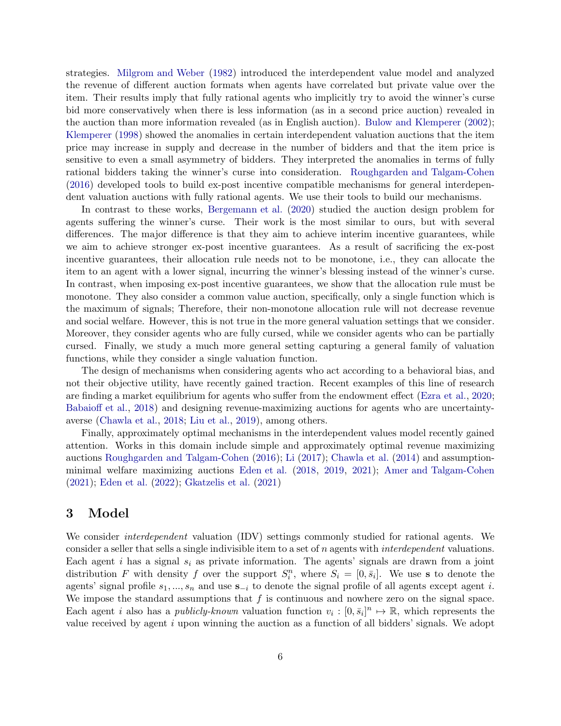strategies. [Milgrom and Weber](#page-29-0) [\(1982](#page-29-0)) introduced the interdependent value model and analyzed the revenue of different auction formats when agents have correlated but private value over the item. Their results imply that fully rational agents who implicitly try to avoid the winner's curse bid more conservatively when there is less information (as in a second price auction) revealed in the auction than more information revealed (as in English auction). [Bulow and Klemperer](#page-26-9) [\(2002](#page-26-9)); [Klemperer](#page-28-0) [\(1998](#page-28-0)) showed the anomalies in certain interdependent valuation auctions that the item price may increase in supply and decrease in the number of bidders and that the item price is sensitive to even a small asymmetry of bidders. They interpreted the anomalies in terms of fully rational bidders taking the winner's curse into consideration. [Roughgarden and Talgam-Cohen](#page-29-3) [\(2016](#page-29-3)) developed tools to build ex-post incentive compatible mechanisms for general interdependent valuation auctions with fully rational agents. We use their tools to build our mechanisms.

In contrast to these works, [Bergemann et al.](#page-26-4) [\(2020](#page-26-4)) studied the auction design problem for agents suffering the winner's curse. Their work is the most similar to ours, but with several differences. The major difference is that they aim to achieve interim incentive guarantees, while we aim to achieve stronger ex-post incentive guarantees. As a result of sacrificing the ex-post incentive guarantees, their allocation rule needs not to be monotone, i.e., they can allocate the item to an agent with a lower signal, incurring the winner's blessing instead of the winner's curse. In contrast, when imposing ex-post incentive guarantees, we show that the allocation rule must be monotone. They also consider a common value auction, specifically, only a single function which is the maximum of signals; Therefore, their non-monotone allocation rule will not decrease revenue and social welfare. However, this is not true in the more general valuation settings that we consider. Moreover, they consider agents who are fully cursed, while we consider agents who can be partially cursed. Finally, we study a much more general setting capturing a general family of valuation functions, while they consider a single valuation function.

The design of mechanisms when considering agents who act according to a behavioral bias, and not their objective utility, have recently gained traction. Recent examples of this line of research are finding a market equilibrium for agents who suffer from the endowment effect [\(Ezra et al.](#page-27-6), [2020](#page-27-6); [Babaioff et al.](#page-26-10), [2018](#page-26-10)) and designing revenue-maximizing auctions for agents who are uncertaintyaverse [\(Chawla et al.](#page-27-7), [2018](#page-27-7); [Liu et al.](#page-28-12), [2019](#page-28-12)), among others.

Finally, approximately optimal mechanisms in the interdependent values model recently gained attention. Works in this domain include simple and approximately optimal revenue maximizing auctions [Roughgarden and Talgam-Cohen](#page-29-3) [\(2016](#page-29-3)); [Li](#page-28-13) [\(2017](#page-28-13)); [Chawla et al.](#page-26-11) [\(2014](#page-26-11)) and assumptionminimal welfare maximizing auctions [Eden et al.](#page-27-8) [\(2018](#page-27-8), [2019,](#page-27-9) [2021](#page-27-10)); [Amer and Talgam-Cohen](#page-26-12) [\(2021](#page-26-12)); [Eden et al.](#page-27-11) [\(2022\)](#page-27-11); [Gkatzelis et al.](#page-28-14) [\(2021\)](#page-28-14)

## 3 Model

We consider *interdependent* valuation (IDV) settings commonly studied for rational agents. We consider a seller that sells a single indivisible item to a set of n agents with *interdependent* valuations. Each agent i has a signal  $s_i$  as private information. The agents' signals are drawn from a joint distribution F with density f over the support  $S_i^n$ , where  $S_i = [0, \bar{s}_i]$ . We use s to denote the agents' signal profile  $s_1, ..., s_n$  and use  $s_{-i}$  to denote the signal profile of all agents except agent i. We impose the standard assumptions that  $f$  is continuous and nowhere zero on the signal space. Each agent *i* also has a *publicly-known* valuation function  $v_i : [0, \bar{s}_i]^n \mapsto \mathbb{R}$ , which represents the value received by agent  $i$  upon winning the auction as a function of all bidders' signals. We adopt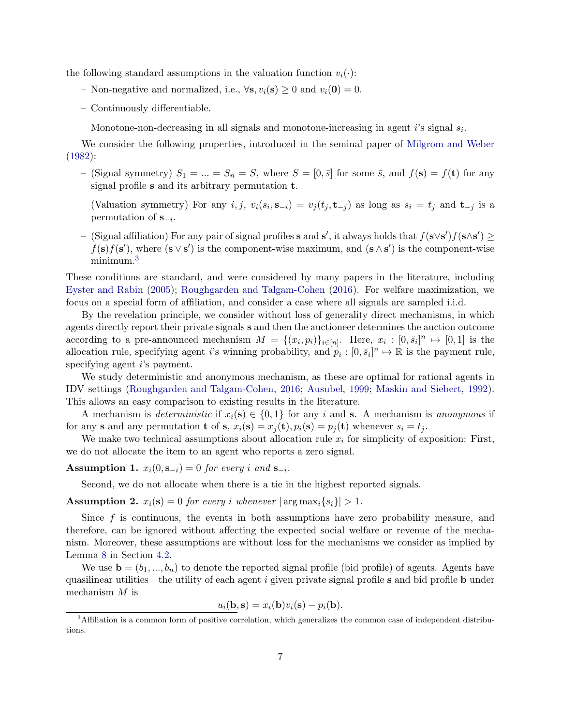the following standard assumptions in the valuation function  $v_i(\cdot)$ :

- Non-negative and normalized, i.e.,  $\forall s, v_i(s) \geq 0$  and  $v_i(0) = 0$ .
- Continuously differentiable.
- Monotone-non-decreasing in all signals and monotone-increasing in agent  $i$ 's signal  $s_i$ .

We consider the following properties, introduced in the seminal paper of [Milgrom and Weber](#page-29-0) [\(1982](#page-29-0)):

- (Signal symmetry)  $S_1 = ... = S_n = S$ , where  $S = [0, \bar{s}]$  for some  $\bar{s}$ , and  $f(\mathbf{s}) = f(\mathbf{t})$  for any signal profile s and its arbitrary permutation t.
- (Valuation symmetry) For any  $i, j, v_i(s_i, \mathbf{s}_{-i}) = v_j(t_j, \mathbf{t}_{-j})$  as long as  $s_i = t_j$  and  $\mathbf{t}_{-j}$  is a permutation of  $\mathbf{s}_{-i}$ .
- − (Signal affiliation) For any pair of signal profiles s and s', it always holds that  $f(s\vee s')f(s\wedge s') \ge$  $f(\mathbf{s})f(\mathbf{s}')$ , where  $(\mathbf{s} \vee \mathbf{s}')$  is the component-wise maximum, and  $(\mathbf{s} \wedge \mathbf{s}')$  is the component-wise minimum.[3](#page-6-0)

These conditions are standard, and were considered by many papers in the literature, including [Eyster and Rabin](#page-27-1) [\(2005](#page-27-1)); [Roughgarden and Talgam-Cohen](#page-29-3) [\(2016](#page-29-3)). For welfare maximization, we focus on a special form of affiliation, and consider a case where all signals are sampled i.i.d.

By the revelation principle, we consider without loss of generality direct mechanisms, in which agents directly report their private signals s and then the auctioneer determines the auction outcome according to a pre-announced mechanism  $M = \{(x_i, p_i)\}_{i \in [n]}$ . Here,  $x_i : [0, \bar{s}_i]^n \mapsto [0, 1]$  is the allocation rule, specifying agent i's winning probability, and  $p_i : [0, \bar{s}_i]^n \mapsto \mathbb{R}$  is the payment rule, specifying agent i's payment.

We study deterministic and anonymous mechanism, as these are optimal for rational agents in IDV settings [\(Roughgarden and Talgam-Cohen,](#page-29-3) [2016;](#page-29-3) [Ausubel](#page-26-5), [1999](#page-26-5); [Maskin and Siebert,](#page-28-6) [1992\)](#page-28-6). This allows an easy comparison to existing results in the literature.

A mechanism is *deterministic* if  $x_i(\mathbf{s}) \in \{0,1\}$  for any i and **s**. A mechanism is *anonymous* if for any s and any permutation **t** of s,  $x_i(\mathbf{s}) = x_j(\mathbf{t}), p_i(\mathbf{s}) = p_j(\mathbf{t})$  whenever  $s_i = t_j$ .

We make two technical assumptions about allocation rule  $x_i$  for simplicity of exposition: First, we do not allocate the item to an agent who reports a zero signal.

<span id="page-6-1"></span>Assumption 1.  $x_i(0, s_{-i}) = 0$  *for every i* and  $s_{-i}$ .

Second, we do not allocate when there is a tie in the highest reported signals.

<span id="page-6-2"></span>**Assumption 2.**  $x_i(\mathbf{s}) = 0$  *for every i whenever*  $|\arg \max_i \{s_i\}| > 1$ *.* 

Since  $f$  is continuous, the events in both assumptions have zero probability measure, and therefore, can be ignored without affecting the expected social welfare or revenue of the mechanism. Moreover, these assumptions are without loss for the mechanisms we consider as implied by Lemma [8](#page-13-1) in Section [4.2.](#page-12-0)

We use  $\mathbf{b} = (b_1, ..., b_n)$  to denote the reported signal profile (bid profile) of agents. Agents have quasilinear utilities—the utility of each agent  $i$  given private signal profile s and bid profile b under mechanism M is

$$
u_i(\mathbf{b}, \mathbf{s}) = x_i(\mathbf{b})v_i(\mathbf{s}) - p_i(\mathbf{b}).
$$

<span id="page-6-0"></span><sup>3</sup>Affiliation is a common form of positive correlation, which generalizes the common case of independent distributions.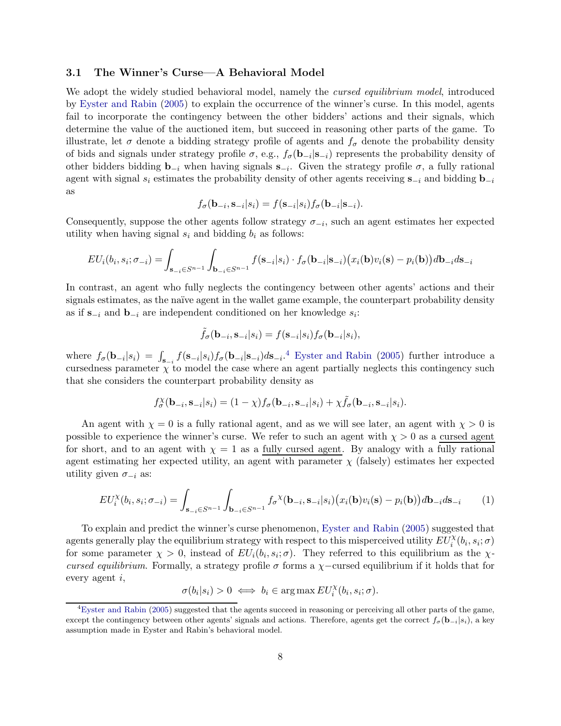#### <span id="page-7-0"></span>3.1 The Winner's Curse—A Behavioral Model

We adopt the widely studied behavioral model, namely the *cursed equilibrium model*, introduced by [Eyster and Rabin](#page-27-1) [\(2005](#page-27-1)) to explain the occurrence of the winner's curse. In this model, agents fail to incorporate the contingency between the other bidders' actions and their signals, which determine the value of the auctioned item, but succeed in reasoning other parts of the game. To illustrate, let  $\sigma$  denote a bidding strategy profile of agents and  $f_{\sigma}$  denote the probability density of bids and signals under strategy profile  $\sigma$ , e.g.,  $f_{\sigma}(\mathbf{b}_{-i}|\mathbf{s}_{-i})$  represents the probability density of other bidders bidding  $\mathbf{b}_{-i}$  when having signals  $\mathbf{s}_{-i}$ . Given the strategy profile  $\sigma$ , a fully rational agent with signal  $s_i$  estimates the probability density of other agents receiving  $s_{-i}$  and bidding  $b_{-i}$ as

$$
f_{\sigma}(\mathbf{b}_{-i}, \mathbf{s}_{-i}|s_i) = f(\mathbf{s}_{-i}|s_i) f_{\sigma}(\mathbf{b}_{-i}|\mathbf{s}_{-i}).
$$

Consequently, suppose the other agents follow strategy  $\sigma_{-i}$ , such an agent estimates her expected utility when having signal  $s_i$  and bidding  $b_i$  as follows:

$$
EU_i(b_i, s_i; \sigma_{-i}) = \int_{\mathbf{s}_{-i} \in S^{n-1}} \int_{\mathbf{b}_{-i} \in S^{n-1}} f(\mathbf{s}_{-i} | s_i) \cdot f_{\sigma}(\mathbf{b}_{-i} | \mathbf{s}_{-i}) (x_i(\mathbf{b}) v_i(\mathbf{s}) - p_i(\mathbf{b})) d\mathbf{b}_{-i} d\mathbf{s}_{-i}
$$

In contrast, an agent who fully neglects the contingency between other agents' actions and their signals estimates, as the naïve agent in the wallet game example, the counterpart probability density as if  $\mathbf{s}_{-i}$  and  $\mathbf{b}_{-i}$  are independent conditioned on her knowledge  $s_i$ :

$$
\tilde{f}_{\sigma}(\mathbf{b}_{-i}, \mathbf{s}_{-i}|s_i) = f(\mathbf{s}_{-i}|s_i) f_{\sigma}(\mathbf{b}_{-i}|s_i),
$$

where  $f_{\sigma}(\mathbf{b}_{-i}|s_i) = \int_{\mathbf{s}_{-i}} f(\mathbf{s}_{-i}|s_i) f_{\sigma}(\mathbf{b}_{-i}|\mathbf{s}_{-i}) d\mathbf{s}_{-i}$ .<sup>[4](#page-7-1)</sup> [Eyster and Rabin](#page-27-1) [\(2005](#page-27-1)) further introduce a cursedness parameter  $\chi$  to model the case where an agent partially neglects this contingency such that she considers the counterpart probability density as

$$
f_{\sigma}^{\chi}(\mathbf{b}_{-i}, \mathbf{s}_{-i}|s_i) = (1 - \chi) f_{\sigma}(\mathbf{b}_{-i}, \mathbf{s}_{-i}|s_i) + \chi \tilde{f}_{\sigma}(\mathbf{b}_{-i}, \mathbf{s}_{-i}|s_i).
$$

An agent with  $\chi = 0$  is a fully rational agent, and as we will see later, an agent with  $\chi > 0$  is possible to experience the winner's curse. We refer to such an agent with  $\chi > 0$  as a cursed agent for short, and to an agent with  $\chi = 1$  as a fully cursed agent. By analogy with a fully rational agent estimating her expected utility, an agent with parameter  $\chi$  (falsely) estimates her expected utility given  $\sigma_{-i}$  as:

<span id="page-7-2"></span>
$$
EU_i^{\chi}(b_i, s_i; \sigma_{-i}) = \int_{\mathbf{s}_{-i} \in S^{n-1}} \int_{\mathbf{b}_{-i} \in S^{n-1}} f_{\sigma}^{\chi}(\mathbf{b}_{-i}, \mathbf{s}_{-i} | s_i) (x_i(\mathbf{b}) v_i(\mathbf{s}) - p_i(\mathbf{b})) d\mathbf{b}_{-i} d\mathbf{s}_{-i} \tag{1}
$$

To explain and predict the winner's curse phenomenon, [Eyster and Rabin](#page-27-1) [\(2005](#page-27-1)) suggested that agents generally play the equilibrium strategy with respect to this misperceived utility  $EU_i^{\chi}(b_i, s_i; \sigma)$ for some parameter  $\chi > 0$ , instead of  $EU_i(b_i, s_i; \sigma)$ . They referred to this equilibrium as the  $\chi$ *cursed equilibrium*. Formally, a strategy profile  $\sigma$  forms a  $\chi$ -cursed equilibrium if it holds that for every agent i,

$$
\sigma(b_i|s_i) > 0 \iff b_i \in \arg\max EU_i^{\chi}(b_i, s_i; \sigma).
$$

<span id="page-7-1"></span><sup>4</sup>[Eyster and Rabin](#page-27-1) [\(2005](#page-27-1)) suggested that the agents succeed in reasoning or perceiving all other parts of the game, except the contingency between other agents' signals and actions. Therefore, agents get the correct  $f_{\sigma}(\mathbf{b}_{-i}|s_i)$ , a key assumption made in Eyster and Rabin's behavioral model.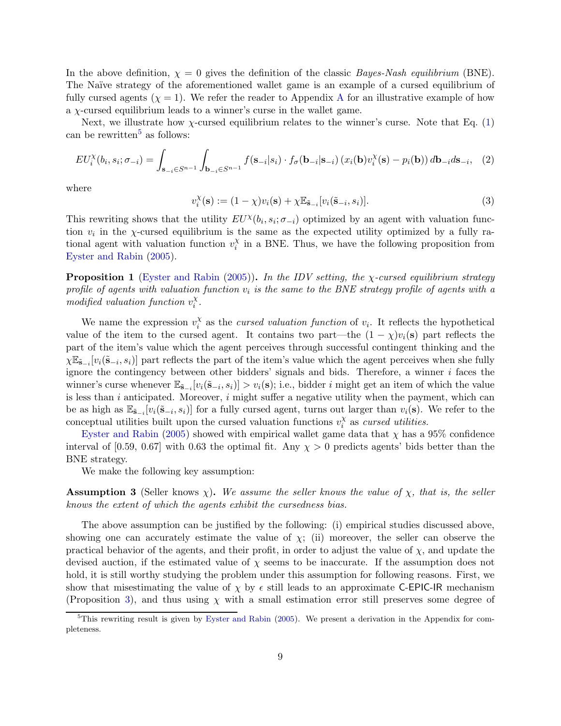In the above definition,  $\chi = 0$  gives the definition of the classic *Bayes-Nash equilibrium* (BNE). The Naïve strategy of the aforementioned wallet game is an example of a cursed equilibrium of fully cursed agents  $(\chi = 1)$ . We refer the reader to [A](#page-29-7)ppendix A for an illustrative example of how a  $\chi$ -cursed equilibrium leads to a winner's curse in the wallet game.

Next, we illustrate how  $\chi$ -cursed equilibrium relates to the winner's curse. Note that Eq. [\(1\)](#page-7-2) can be rewritten<sup>[5](#page-8-0)</sup> as follows:

$$
EU_i^{\chi}(b_i, s_i; \sigma_{-i}) = \int_{\mathbf{S}_{-i} \in S^{n-1}} \int_{\mathbf{b}_{-i} \in S^{n-1}} f(\mathbf{s}_{-i} | s_i) \cdot f_{\sigma}(\mathbf{b}_{-i} | \mathbf{s}_{-i}) (x_i(\mathbf{b}) v_i^{\chi}(\mathbf{s}) - p_i(\mathbf{b})) d\mathbf{b}_{-i} d\mathbf{s}_{-i}, \tag{2}
$$

where

<span id="page-8-1"></span>
$$
v_i^{\chi}(\mathbf{s}) := (1 - \chi)v_i(\mathbf{s}) + \chi \mathbb{E}_{\tilde{\mathbf{s}}_{-i}}[v_i(\tilde{\mathbf{s}}_{-i}, s_i)].
$$
\n(3)

This rewriting shows that the utility  $EU^{\chi}(b_i, s_i; \sigma_{-i})$  optimized by an agent with valuation function  $v_i$  in the  $\chi$ -cursed equilibrium is the same as the expected utility optimized by a fully rational agent with valuation function  $v_i^{\chi}$  $\frac{x}{i}$  in a BNE. Thus, we have the following proposition from [Eyster and Rabin](#page-27-1) [\(2005](#page-27-1)).

Proposition 1 [\(Eyster and Rabin](#page-27-1) [\(2005\)](#page-27-1)). *In the IDV setting, the* χ*-cursed equilibrium strategy* profile of agents with valuation function  $v_i$  is the same to the BNE strategy profile of agents with a *modified valuation function*  $v_i^{\chi}$ i *.*

We name the expression  $v_i^{\chi}$  $\alpha_i^{\chi}$  as the *cursed valuation function* of  $v_i$ . It reflects the hypothetical value of the item to the cursed agent. It contains two part—the  $(1 - \chi)v_i(\mathbf{s})$  part reflects the part of the item's value which the agent perceives through successful contingent thinking and the  $\chi \mathbb{E}_{\tilde{\mathbf{s}}_{-i}}[v_i(\tilde{\mathbf{s}}_{-i}, s_i)]$  part reflects the part of the item's value which the agent perceives when she fully ignore the contingency between other bidders' signals and bids. Therefore, a winner i faces the winner's curse whenever  $\mathbb{E}_{\tilde{\mathbf{s}}_{-i}}[v_i(\tilde{\mathbf{s}}_{-i}, s_i)] > v_i(\mathbf{s})$ ; i.e., bidder i might get an item of which the value is less than  $i$  anticipated. Moreover,  $i$  might suffer a negative utility when the payment, which can be as high as  $\mathbb{E}_{\tilde{\mathbf{s}}_{-i}}[v_i(\tilde{\mathbf{s}}_{-i}, s_i)]$  for a fully cursed agent, turns out larger than  $v_i(\mathbf{s})$ . We refer to the conceptual utilities built upon the cursed valuation functions  $v_i^{\chi}$  $\frac{\lambda}{i}$  as *cursed utilities*.

[Eyster and Rabin](#page-27-1) [\(2005\)](#page-27-1) showed with empirical wallet game data that  $\chi$  has a 95% confidence interval of [0.59, 0.67] with 0.63 the optimal fit. Any  $\chi > 0$  predicts agents' bids better than the BNE strategy.

We make the following key assumption:

Assumption 3 (Seller knows χ). *We assume the seller knows the value of* χ*, that is, the seller knows the extent of which the agents exhibit the cursedness bias.*

The above assumption can be justified by the following: (i) empirical studies discussed above, showing one can accurately estimate the value of  $\chi$ ; (ii) moreover, the seller can observe the practical behavior of the agents, and their profit, in order to adjust the value of  $\chi$ , and update the devised auction, if the estimated value of  $\chi$  seems to be inaccurate. If the assumption does not hold, it is still worthy studying the problem under this assumption for following reasons. First, we show that misestimating the value of  $\chi$  by  $\epsilon$  still leads to an approximate C-EPIC-IR mechanism (Proposition [3\)](#page-10-0), and thus using  $\chi$  with a small estimation error still preserves some degree of

<span id="page-8-0"></span><sup>&</sup>lt;sup>5</sup>This rewriting result is given by [Eyster and Rabin](#page-27-1) [\(2005](#page-27-1)). We present a derivation in the Appendix for completeness.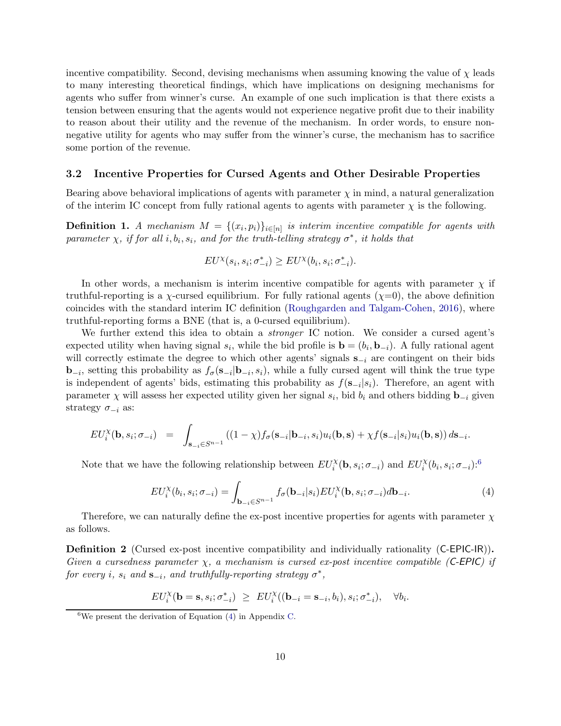incentive compatibility. Second, devising mechanisms when assuming knowing the value of  $\chi$  leads to many interesting theoretical findings, which have implications on designing mechanisms for agents who suffer from winner's curse. An example of one such implication is that there exists a tension between ensuring that the agents would not experience negative profit due to their inability to reason about their utility and the revenue of the mechanism. In order words, to ensure nonnegative utility for agents who may suffer from the winner's curse, the mechanism has to sacrifice some portion of the revenue.

#### 3.2 Incentive Properties for Cursed Agents and Other Desirable Properties

Bearing above behavioral implications of agents with parameter  $\chi$  in mind, a natural generalization of the interim IC concept from fully rational agents to agents with parameter  $\chi$  is the following.

**Definition 1.** A mechanism  $M = \{(x_i, p_i)\}_{i \in [n]}$  is interim incentive compatible for agents with  $\emph{parameter $\chi$, if for all $i,b_i,s_i$, and for the truth-telling strategy $\sigma^*$, it holds that}$ 

$$
EU^{\chi}(s_i, s_i; \sigma_{-i}^*) \geq EU^{\chi}(b_i, s_i; \sigma_{-i}^*).
$$

In other words, a mechanism is interim incentive compatible for agents with parameter  $\chi$  if truthful-reporting is a  $\chi$ -cursed equilibrium. For fully rational agents  $(\chi=0)$ , the above definition coincides with the standard interim IC definition [\(Roughgarden and Talgam-Cohen](#page-29-3), [2016\)](#page-29-3), where truthful-reporting forms a BNE (that is, a 0-cursed equilibrium).

We further extend this idea to obtain a *stronger* IC notion. We consider a cursed agent's expected utility when having signal  $s_i$ , while the bid profile is  $\mathbf{b} = (b_i, \mathbf{b}_{-i})$ . A fully rational agent will correctly estimate the degree to which other agents' signals  $s_{-i}$  are contingent on their bids **b**<sub>−*i*</sub>, setting this probability as  $f_{\sigma}$ (**s**<sub>−*i*</sub>|**b**<sub>−*i*</sub>, *s<sub>i</sub>*), while a fully cursed agent will think the true type is independent of agents' bids, estimating this probability as  $f(\mathbf{s}_{-i}|s_i)$ . Therefore, an agent with parameter  $\chi$  will assess her expected utility given her signal  $s_i$ , bid  $b_i$  and others bidding  $\mathbf{b}_{-i}$  given strategy  $\sigma_{-i}$  as:

$$
EU_i^{\chi}(\mathbf{b}, s_i; \sigma_{-i}) = \int_{\mathbf{s}_{-i}\in S^{n-1}} ((1-\chi)f_{\sigma}(\mathbf{s}_{-i}|\mathbf{b}_{-i}, s_i)u_i(\mathbf{b}, \mathbf{s}) + \chi f(\mathbf{s}_{-i}|s_i)u_i(\mathbf{b}, \mathbf{s})) d\mathbf{s}_{-i}.
$$

Note that we have the following relationship between  $EU_i^{\chi}(\mathbf{b}, s_i; \sigma_{-i})$  and  $EU_i^{\chi}(b_i, s_i; \sigma_{-i})$ :<sup>[6](#page-9-0)</sup>

<span id="page-9-1"></span>
$$
EU_i^{\chi}(b_i, s_i; \sigma_{-i}) = \int_{\mathbf{b}_{-i} \in S^{n-1}} f_{\sigma}(\mathbf{b}_{-i} | s_i) EU_i^{\chi}(\mathbf{b}, s_i; \sigma_{-i}) d\mathbf{b}_{-i}.
$$
 (4)

Therefore, we can naturally define the ex-post incentive properties for agents with parameter  $\chi$ as follows.

<span id="page-9-2"></span>Definition 2 (Cursed ex-post incentive compatibility and individually rationality (C-EPIC-IR)). *Given a cursedness parameter* χ*, a mechanism is cursed ex-post incentive compatible (*C-EPIC*) if*  $for\ every\ i,\ s_i\ and\ s_{-i},\ and\ truthfully-reporting\ strategy\ \sigma^*,$ 

$$
EU_i^{\chi}(\mathbf{b}=\mathbf{s}, s_i; \sigma_{-i}^*) \ \geq \ EU_i^{\chi}((\mathbf{b}_{-i}=\mathbf{s}_{-i}, b_i), s_i; \sigma_{-i}^*), \quad \forall b_i.
$$

<span id="page-9-0"></span><sup>&</sup>lt;sup>6</sup>We present the derivation of Equation  $(4)$  in Appendix [C.](#page-32-0)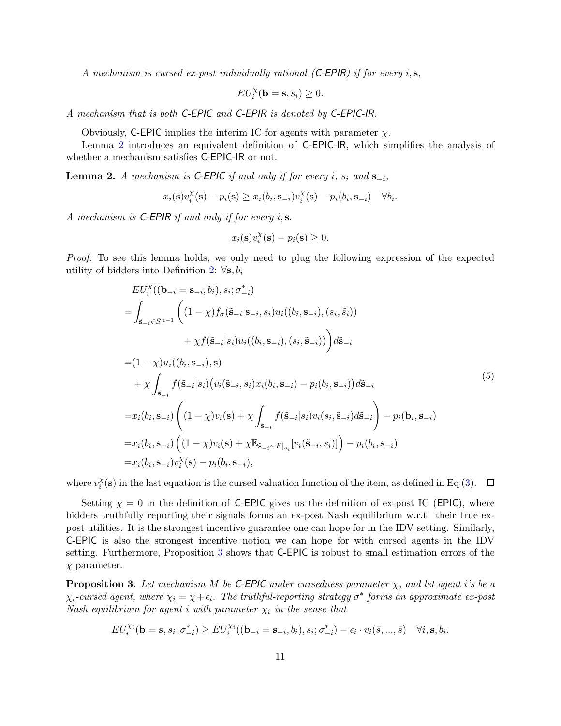*A mechanism is cursed ex-post individually rational (*C-EPIR*) if for every* i, s,

$$
EU_i^{\chi}(\mathbf{b}=\mathbf{s}, s_i) \geq 0.
$$

*A mechanism that is both* C-EPIC *and* C-EPIR *is denoted by* C-EPIC-IR*.*

Obviously, C-EPIC implies the interim IC for agents with parameter  $\chi$ .

Lemma [2](#page-10-1) introduces an equivalent definition of C-EPIC-IR, which simplifies the analysis of whether a mechanism satisfies C-EPIC-IR or not.

<span id="page-10-1"></span>Lemma 2. *A mechanism is*  $C$ - $E$ PIC *if and only if for every i*,  $s_i$  *and*  $s_{-i}$ ,

$$
x_i(\mathbf{s})v_i^{\chi}(\mathbf{s}) - p_i(\mathbf{s}) \ge x_i(b_i, \mathbf{s}_{-i})v_i^{\chi}(\mathbf{s}) - p_i(b_i, \mathbf{s}_{-i}) \quad \forall b_i
$$

.

*A mechanism is* C-EPIR *if and only if for every* i, s.

$$
x_i(\mathbf{s})v_i^{\chi}(\mathbf{s}) - p_i(\mathbf{s}) \ge 0.
$$

*Proof.* To see this lemma holds, we only need to plug the following expression of the expected utility of bidders into Definition [2:](#page-9-2)  $\forall s, b_i$ 

$$
EU_i^{\chi}((\mathbf{b}_{-i} = \mathbf{s}_{-i}, b_i), s_i; \sigma_{-i}^*)
$$
\n
$$
= \int_{\tilde{\mathbf{s}}_{-i} \in S^{n-1}} \left( (1 - \chi) f_{\sigma}(\tilde{\mathbf{s}}_{-i} | \mathbf{s}_{-i}, s_i) u_i((b_i, \mathbf{s}_{-i}), (s_i, \tilde{s}_i))
$$
\n
$$
+ \chi f(\tilde{\mathbf{s}}_{-i} | s_i) u_i((b_i, \mathbf{s}_{-i}), (s_i, \tilde{\mathbf{s}}_{-i})) \right) d\tilde{\mathbf{s}}_{-i}
$$
\n
$$
= (1 - \chi) u_i((b_i, \mathbf{s}_{-i}), \mathbf{s})
$$
\n
$$
+ \chi \int_{\tilde{\mathbf{s}}_{-i}} f(\tilde{\mathbf{s}}_{-i} | s_i) (v_i(\tilde{\mathbf{s}}_{-i}, s_i) x_i(b_i, \mathbf{s}_{-i}) - p_i(b_i, \mathbf{s}_{-i})) d\tilde{\mathbf{s}}_{-i}
$$
\n
$$
= x_i(b_i, \mathbf{s}_{-i}) \left( (1 - \chi) v_i(\mathbf{s}) + \chi \int_{\tilde{\mathbf{s}}_{-i}} f(\tilde{\mathbf{s}}_{-i} | s_i) v_i(s_i, \tilde{\mathbf{s}}_{-i}) d\tilde{\mathbf{s}}_{-i} \right) - p_i(\mathbf{b}_i, \mathbf{s}_{-i})
$$
\n
$$
= x_i(b_i, \mathbf{s}_{-i}) \left( (1 - \chi) v_i(\mathbf{s}) + \chi \mathbb{E}_{\tilde{\mathbf{s}}_{-i} \sim F|s_i} [v_i(\tilde{\mathbf{s}}_{-i}, s_i)] \right) - p_i(b_i, \mathbf{s}_{-i})
$$
\n
$$
= x_i(b_i, \mathbf{s}_{-i}) v_i^{\chi}(\mathbf{s}) - p_i(b_i, \mathbf{s}_{-i}),
$$
\n(11.11)

where  $v_i^{\chi}$  $i<sup>x</sup>$  (s) in the last equation is the cursed valuation function of the item, as defined in Eq [\(3\)](#page-8-1).

Setting  $\chi = 0$  in the definition of C-EPIC gives us the definition of ex-post IC (EPIC), where bidders truthfully reporting their signals forms an ex-post Nash equilibrium w.r.t. their true expost utilities. It is the strongest incentive guarantee one can hope for in the IDV setting. Similarly, C-EPIC is also the strongest incentive notion we can hope for with cursed agents in the IDV setting. Furthermore, Proposition [3](#page-10-0) shows that C-EPIC is robust to small estimation errors of the  $\chi$  parameter.

<span id="page-10-0"></span>**Proposition 3.** Let mechanism M be C-EPIC under cursedness parameter  $\chi$ , and let agent *i*'s be a  $\chi_i$ -cursed agent, where  $\chi_i = \chi + \epsilon_i$ . The truthful-reporting strategy  $\sigma^*$  forms an approximate ex-post *Nash equilibrium for agent i with parameter*  $\chi_i$  *in the sense that* 

$$
EU_i^{\chi_i}(\mathbf{b}=\mathbf{s},s_i;\sigma_{-i}^*) \ge EU_i^{\chi_i}((\mathbf{b}_{-i}=\mathbf{s}_{-i},b_i),s_i;\sigma_{-i}^*) - \epsilon_i \cdot v_i(\bar{s},...,\bar{s}) \quad \forall i,\mathbf{s},b_i.
$$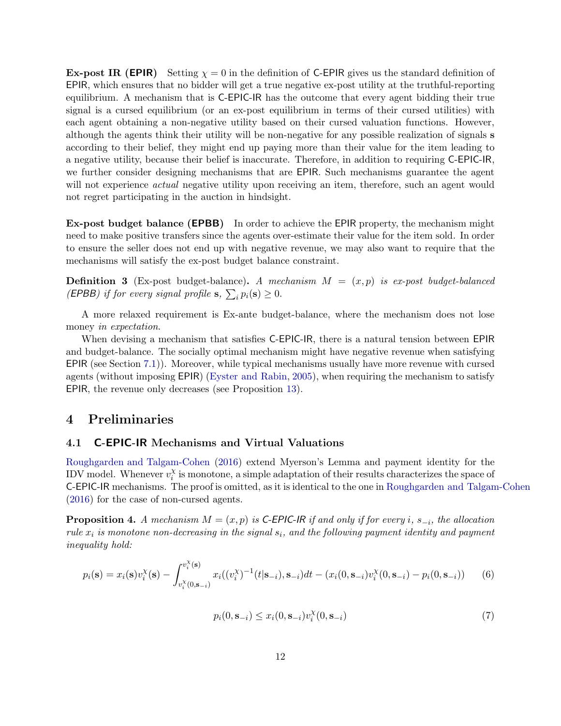**Ex-post IR (EPIR)** Setting  $\chi = 0$  in the definition of C-EPIR gives us the standard definition of EPIR, which ensures that no bidder will get a true negative ex-post utility at the truthful-reporting equilibrium. A mechanism that is C-EPIC-IR has the outcome that every agent bidding their true signal is a cursed equilibrium (or an ex-post equilibrium in terms of their cursed utilities) with each agent obtaining a non-negative utility based on their cursed valuation functions. However, although the agents think their utility will be non-negative for any possible realization of signals s according to their belief, they might end up paying more than their value for the item leading to a negative utility, because their belief is inaccurate. Therefore, in addition to requiring C-EPIC-IR, we further consider designing mechanisms that are EPIR. Such mechanisms guarantee the agent will not experience *actual* negative utility upon receiving an item, therefore, such an agent would not regret participating in the auction in hindsight.

Ex-post budget balance (EPBB) In order to achieve the EPIR property, the mechanism might need to make positive transfers since the agents over-estimate their value for the item sold. In order to ensure the seller does not end up with negative revenue, we may also want to require that the mechanisms will satisfy the ex-post budget balance constraint.

Definition 3 (Ex-post budget-balance). *A mechanism* M = (x, p) *is ex-post budget-balanced (EPBB)* if for every signal profile **s**,  $\sum_{i} p_i(\mathbf{s}) \ge 0$ .

A more relaxed requirement is Ex-ante budget-balance, where the mechanism does not lose money *in expectation*.

When devising a mechanism that satisfies C-EPIC-IR, there is a natural tension between EPIR and budget-balance. The socially optimal mechanism might have negative revenue when satisfying EPIR (see Section [7.1\)](#page-18-1)). Moreover, while typical mechanisms usually have more revenue with cursed agents (without imposing EPIR) [\(Eyster and Rabin](#page-27-1), [2005\)](#page-27-1), when requiring the mechanism to satisfy EPIR, the revenue only decreases (see Proposition [13\)](#page-15-0).

## 4 Preliminaries

#### 4.1 C-EPIC-IR Mechanisms and Virtual Valuations

[Roughgarden and Talgam-Cohen](#page-29-3) [\(2016](#page-29-3)) extend Myerson's Lemma and payment identity for the IDV model. Whenever  $v_i^{\chi}$  $\chi_i^{\chi}$  is monotone, a simple adaptation of their results characterizes the space of C-EPIC-IR mechanisms. The proof is omitted, as it is identical to the one in [Roughgarden and Talgam-Cohen](#page-29-3) [\(2016](#page-29-3)) for the case of non-cursed agents.

<span id="page-11-0"></span>**Proposition 4.** *A mechanism*  $M = (x, p)$  *is* C-EPIC-IR *if and only if for every i*,  $s_{-i}$ *, the allocation*  $rule\ x_i$  is monotone non-decreasing in the signal  $s_i$ , and the following payment identity and payment *inequality hold:*

$$
p_i(\mathbf{s}) = x_i(\mathbf{s}) v_i^{\chi}(\mathbf{s}) - \int_{v_i^{\chi}(0,\mathbf{s}_{-i})}^{v_i^{\chi}(\mathbf{s})} x_i((v_i^{\chi})^{-1}(t|\mathbf{s}_{-i}), \mathbf{s}_{-i}) dt - (x_i(0,\mathbf{s}_{-i})v_i^{\chi}(0,\mathbf{s}_{-i}) - p_i(0,\mathbf{s}_{-i})) \tag{6}
$$

<span id="page-11-2"></span><span id="page-11-1"></span>
$$
p_i(0, \mathbf{s}_{-i}) \le x_i(0, \mathbf{s}_{-i}) v_i^{\chi}(0, \mathbf{s}_{-i})
$$
\n<sup>(7)</sup>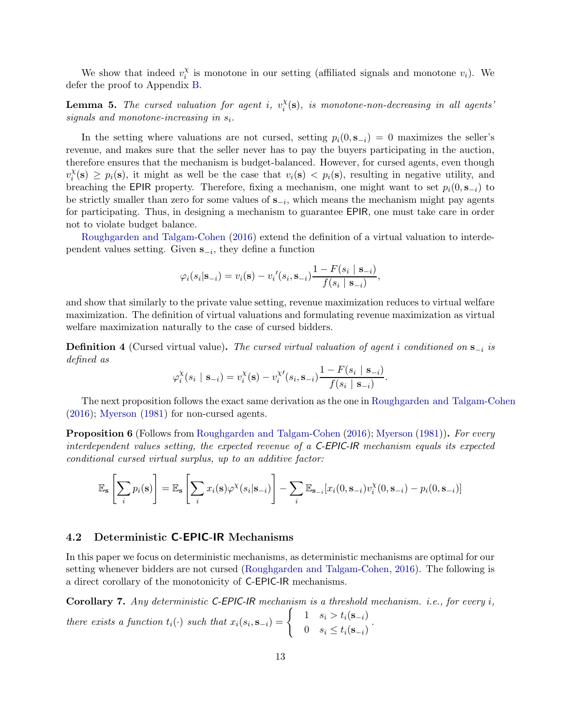We show that indeed  $v_i^{\chi}$  $i$  is monotone in our setting (affiliated signals and monotone  $v_i$ ). We defer the proof to Appendix [B.](#page-29-8)

<span id="page-12-3"></span>**Lemma 5.** The cursed valuation for agent i,  $v_i^{\chi}$  $\mathbf{X}_i^{\chi}(\mathbf{s})$ *, is monotone-non-decreasing in all agents'*  $signals$  and monotone-increasing in  $s_i$ .

In the setting where valuations are not cursed, setting  $p_i(0, s_{-i}) = 0$  maximizes the seller's revenue, and makes sure that the seller never has to pay the buyers participating in the auction, therefore ensures that the mechanism is budget-balanced. However, for cursed agents, even though  $v_i^{\chi}$  $i(\mathbf{s}) \geq p_i(\mathbf{s})$ , it might as well be the case that  $v_i(\mathbf{s}) < p_i(\mathbf{s})$ , resulting in negative utility, and breaching the EPIR property. Therefore, fixing a mechanism, one might want to set  $p_i(0, s_{-i})$  to be strictly smaller than zero for some values of  $s_{-i}$ , which means the mechanism might pay agents for participating. Thus, in designing a mechanism to guarantee EPIR, one must take care in order not to violate budget balance.

[Roughgarden and Talgam-Cohen](#page-29-3) [\(2016](#page-29-3)) extend the definition of a virtual valuation to interdependent values setting. Given  $\mathbf{s}_{-i}$ , they define a function

$$
\varphi_i(s_i|\mathbf{s}_{-i}) = v_i(\mathbf{s}) - v_i'(s_i, \mathbf{s}_{-i}) \frac{1 - F(s_i | \mathbf{s}_{-i})}{f(s_i | \mathbf{s}_{-i})},
$$

and show that similarly to the private value setting, revenue maximization reduces to virtual welfare maximization. The definition of virtual valuations and formulating revenue maximization as virtual welfare maximization naturally to the case of cursed bidders.

Definition 4 (Cursed virtual value). *The cursed virtual valuation of agent* i *conditioned on* s−<sup>i</sup> *is defined as*

$$
\varphi_i^{\chi}(s_i \mid \mathbf{s}_{-i}) = v_i^{\chi}(\mathbf{s}) - v_i^{\chi'}(s_i, \mathbf{s}_{-i}) \frac{1 - F(s_i \mid \mathbf{s}_{-i})}{f(s_i \mid \mathbf{s}_{-i})}.
$$

The next proposition follows the exact same derivation as the one in [Roughgarden and Talgam-Cohen](#page-29-3) [\(2016](#page-29-3)); [Myerson](#page-29-9) [\(1981](#page-29-9)) for non-cursed agents.

<span id="page-12-2"></span>Proposition 6 (Follows from [Roughgarden and Talgam-Cohen](#page-29-3) [\(2016](#page-29-3)); [Myerson](#page-29-9) [\(1981](#page-29-9))). *For every interdependent values setting, the expected revenue of a* C-EPIC-IR *mechanism equals its expected conditional cursed virtual surplus, up to an additive factor:*

$$
\mathbb{E}_{\mathbf{s}}\left[\sum_{i} p_i(\mathbf{s})\right] = \mathbb{E}_{\mathbf{s}}\left[\sum_{i} x_i(\mathbf{s})\varphi^{\chi}(s_i|\mathbf{s}_{-i})\right] - \sum_{i} \mathbb{E}_{\mathbf{s}_{-i}}[x_i(0,\mathbf{s}_{-i})v_i^{\chi}(0,\mathbf{s}_{-i}) - p_i(0,\mathbf{s}_{-i})]
$$

#### <span id="page-12-0"></span>4.2 Deterministic C-EPIC-IR Mechanisms

In this paper we focus on deterministic mechanisms, as deterministic mechanisms are optimal for our setting whenever bidders are not cursed [\(Roughgarden and Talgam-Cohen,](#page-29-3) [2016](#page-29-3)). The following is a direct corollary of the monotonicity of C-EPIC-IR mechanisms.

<span id="page-12-1"></span>Corollary 7. *Any deterministic* C-EPIC-IR *mechanism is a threshold mechanism. i.e., for every* i*, there exists a function*  $t_i(\cdot)$  *such that*  $x_i(s_i, \mathbf{s}_{-i}) = \begin{cases} 1 & s_i > t_i(\mathbf{s}_{-i}) \\ 0 & s_i < t_i(\mathbf{s}_{-i}) \end{cases}$ 0  $s_i \leq t_i(\mathbf{s}_{-i})$ .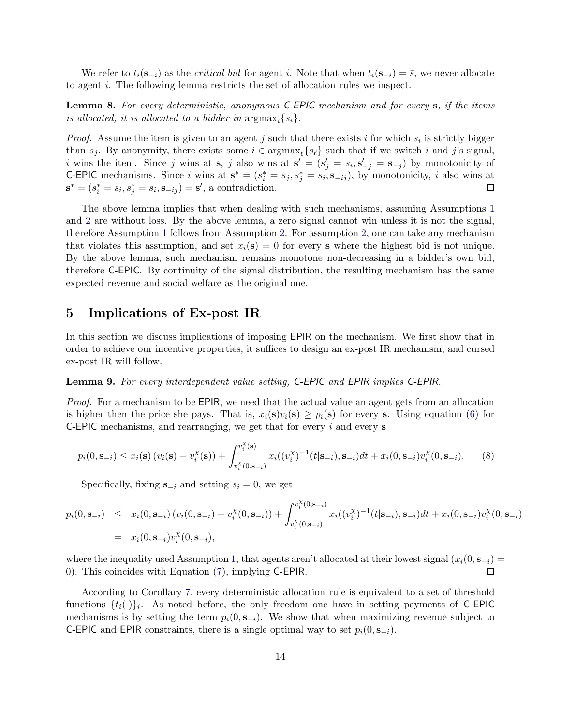We refer to  $t_i(s_{-i})$  as the *critical bid* for agent i. Note that when  $t_i(s_{-i}) = \overline{s}$ , we never allocate to agent i. The following lemma restricts the set of allocation rules we inspect.

<span id="page-13-1"></span>Lemma 8. *For every deterministic, anonymous* C-EPIC *mechanism and for every* s*, if the items is allocated, it is allocated to a bidder in*  $\arg\max_i \{s_i\}.$ 

*Proof.* Assume the item is given to an agent  $j$  such that there exists  $i$  for which  $s_i$  is strictly bigger than  $s_j$ . By anonymity, there exists some  $i \in \text{argmax}_{\ell} \{s_{\ell}\}\$  such that if we switch i and j's signal, i wins the item. Since j wins at  $\mathbf{s}, j$  also wins at  $\mathbf{s}' = (s'_j = s_i, \mathbf{s}'_{-j} = \mathbf{s}_{-j})$  by monotonicity of **C-EPIC** mechanisms. Since i wins at  $\mathbf{s}^* = (s_i^* = s_j, s_j^* = s_i, \mathbf{s}_{-ij})$ , by monotonicity, i also wins at  $\mathbf{s}^* = (s_i^* = s_i, s_j^* = s_i, \mathbf{s}_{-ij}) = \mathbf{s}'$ , a contradiction.

The above lemma implies that when dealing with such mechanisms, assuming Assumptions [1](#page-6-1) and [2](#page-6-2) are without loss. By the above lemma, a zero signal cannot win unless it is not the signal, therefore Assumption [1](#page-6-1) follows from Assumption [2.](#page-6-2) For assumption [2,](#page-6-2) one can take any mechanism that violates this assumption, and set  $x_i(\mathbf{s}) = 0$  for every **s** where the highest bid is not unique. By the above lemma, such mechanism remains monotone non-decreasing in a bidder's own bid, therefore C-EPIC. By continuity of the signal distribution, the resulting mechanism has the same expected revenue and social welfare as the original one.

## <span id="page-13-0"></span>5 Implications of Ex-post IR

In this section we discuss implications of imposing EPIR on the mechanism. We first show that in order to achieve our incentive properties, it suffices to design an ex-post IR mechanism, and cursed ex-post IR will follow.

#### Lemma 9. *For every interdependent value setting,* C-EPIC *and* EPIR *implies* C-EPIR*.*

*Proof.* For a mechanism to be EPIR, we need that the actual value an agent gets from an allocation is higher then the price she pays. That is,  $x_i(\mathbf{s})v_i(\mathbf{s}) \geq p_i(\mathbf{s})$  for every s. Using equation [\(6\)](#page-11-1) for **C-EPIC** mechanisms, and rearranging, we get that for every  $i$  and every  $s$ 

<span id="page-13-2"></span>
$$
p_i(0, \mathbf{s}_{-i}) \le x_i(\mathbf{s}) \left( v_i(\mathbf{s}) - v_i^{\chi}(\mathbf{s}) \right) + \int_{v_i^{\chi}(0, \mathbf{s}_{-i})}^{v_i^{\chi}(\mathbf{s})} x_i((v_i^{\chi})^{-1}(t | \mathbf{s}_{-i}), \mathbf{s}_{-i}) dt + x_i(0, \mathbf{s}_{-i}) v_i^{\chi}(0, \mathbf{s}_{-i}). \tag{8}
$$

Specifically, fixing  $s_{-i}$  and setting  $s_i = 0$ , we get

$$
p_i(0, \mathbf{s}_{-i}) \leq x_i(0, \mathbf{s}_{-i}) (v_i(0, \mathbf{s}_{-i}) - v_i^{\chi}(0, \mathbf{s}_{-i})) + \int_{v_i^{\chi}(0, \mathbf{s}_{-i})}^{v_i^{\chi}(0, \mathbf{s}_{-i})} x_i((v_i^{\chi})^{-1}(t|\mathbf{s}_{-i}), \mathbf{s}_{-i}) dt + x_i(0, \mathbf{s}_{-i}) v_i^{\chi}(0, \mathbf{s}_{-i})
$$
  
=  $x_i(0, \mathbf{s}_{-i}) v_i^{\chi}(0, \mathbf{s}_{-i}),$ 

where the inequality used Assumption [1,](#page-6-1) that agents aren't allocated at their lowest signal  $(x_i(0, s_{-i}) = 0)$ . This coincides with Equation (7), implying C-EPIR. 0). This coincides with Equation [\(7\)](#page-11-2), implying C-EPIR.

According to Corollary [7,](#page-12-1) every deterministic allocation rule is equivalent to a set of threshold functions  $\{t_i(\cdot)\}_i$ . As noted before, the only freedom one have in setting payments of C-EPIC mechanisms is by setting the term  $p_i(0, s_{-i})$ . We show that when maximizing revenue subject to C-EPIC and EPIR constraints, there is a single optimal way to set  $p_i(0, s_{-i})$ .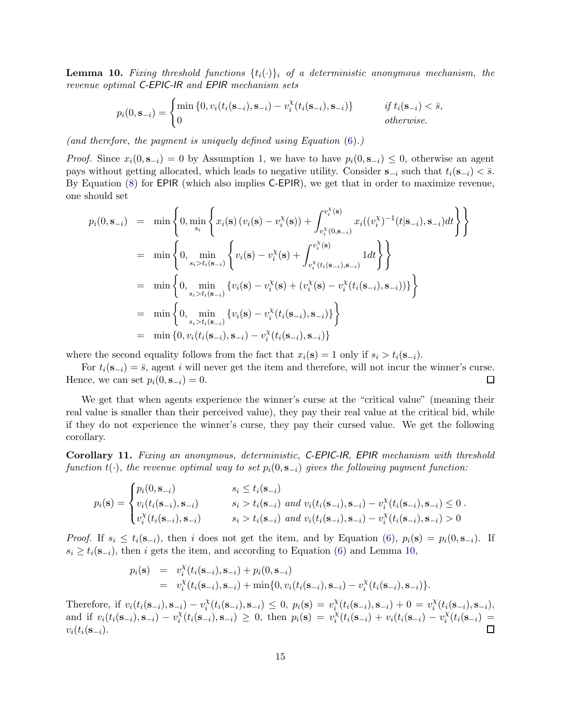<span id="page-14-0"></span>**Lemma 10.** Fixing threshold functions  $\{t_i(\cdot)\}\$ i of a deterministic anonymous mechanism, the *revenue optimal* C-EPIC-IR *and* EPIR *mechanism sets*

$$
p_i(0,\mathbf{s}_{-i}) = \begin{cases} \min\left\{0, v_i(t_i(\mathbf{s}_{-i}), \mathbf{s}_{-i}) - v_i^{\chi}(t_i(\mathbf{s}_{-i}), \mathbf{s}_{-i})\right\} & \text{if } t_i(\mathbf{s}_{-i}) < \bar{s}, \\ 0 & \text{otherwise.} \end{cases}
$$

*(and therefore, the payment is uniquely defined using Equation* [\(6\)](#page-11-1)*.)*

*Proof.* Since  $x_i(0, s_{-i}) = 0$  by Assumption [1,](#page-6-1) we have to have  $p_i(0, s_{-i}) \leq 0$ , otherwise an agent pays without getting allocated, which leads to negative utility. Consider  $s_{-i}$  such that  $t_i(s_{-i}) < \overline{s}$ . By Equation [\(8\)](#page-13-2) for EPIR (which also implies C-EPIR), we get that in order to maximize revenue, one should set

$$
p_i(0, \mathbf{s}_{-i}) = \min \left\{ 0, \min_{s_i} \left\{ x_i(\mathbf{s}) \left( v_i(\mathbf{s}) - v_i^{\chi}(\mathbf{s}) \right) + \int_{v_i^{\chi}(0, \mathbf{s}_{-i})}^{v_i^{\chi}(\mathbf{s})} x_i((v_i^{\chi})^{-1}(t | \mathbf{s}_{-i}), \mathbf{s}_{-i}) dt \right\} \right\}
$$
  
\n
$$
= \min \left\{ 0, \min_{s_i > t_i(\mathbf{s}_{-i})} \left\{ v_i(\mathbf{s}) - v_i^{\chi}(\mathbf{s}) + \int_{v_i^{\chi}(t_i(\mathbf{s}_{-i}), \mathbf{s}_{-i})}^{v_i^{\chi}(\mathbf{s})} 1 dt \right\} \right\}
$$
  
\n
$$
= \min \left\{ 0, \min_{s_i > t_i(\mathbf{s}_{-i})} \left\{ v_i(\mathbf{s}) - v_i^{\chi}(\mathbf{s}) + (v_i^{\chi}(\mathbf{s}) - v_i^{\chi}(t_i(\mathbf{s}_{-i}), \mathbf{s}_{-i})) \right\} \right\}
$$
  
\n
$$
= \min \left\{ 0, \min_{s_i > t_i(\mathbf{s}_{-i})} \left\{ v_i(\mathbf{s}) - v_i^{\chi}(t_i(\mathbf{s}_{-i}), \mathbf{s}_{-i}) \right\} \right\}
$$
  
\n
$$
= \min \left\{ 0, v_i(t_i(\mathbf{s}_{-i}), \mathbf{s}_{-i}) - v_i^{\chi}(t_i(\mathbf{s}_{-i}), \mathbf{s}_{-i}) \right\}
$$

where the second equality follows from the fact that  $x_i(\mathbf{s}) = 1$  only if  $s_i > t_i(\mathbf{s}_{-i})$ .

For  $t_i(\mathbf{s}_{-i}) = \bar{s}$ , agent *i* will never get the item and therefore, will not incur the winner's curse.<br>nce, we can set  $p_i(0, \mathbf{s}_{-i}) = 0$ . □ Hence, we can set  $p_i(0, s_{-i}) = 0$ .

We get that when agents experience the winner's curse at the "critical value" (meaning their real value is smaller than their perceived value), they pay their real value at the critical bid, while if they do not experience the winner's curse, they pay their cursed value. We get the following corollary.

<span id="page-14-1"></span>Corollary 11. *Fixing an anonymous, deterministic,* C-EPIC-IR*,* EPIR *mechanism with threshold function*  $t(\cdot)$ *, the revenue optimal way to set*  $p_i(0, s_{-i})$  *gives the following payment function:* 

$$
p_i(\mathbf{s}) = \begin{cases} p_i(0, \mathbf{s}_{-i}) & s_i \le t_i(\mathbf{s}_{-i}) \\ v_i(t_i(\mathbf{s}_{-i}), \mathbf{s}_{-i}) & s_i > t_i(\mathbf{s}_{-i}) \text{ and } v_i(t_i(\mathbf{s}_{-i}), \mathbf{s}_{-i}) - v_i^{\chi}(t_i(\mathbf{s}_{-i}), \mathbf{s}_{-i}) \le 0 \\ v_i^{\chi}(t_i(\mathbf{s}_{-i}), \mathbf{s}_{-i}) & s_i > t_i(\mathbf{s}_{-i}) \text{ and } v_i(t_i(\mathbf{s}_{-i}), \mathbf{s}_{-i}) - v_i^{\chi}(t_i(\mathbf{s}_{-i}), \mathbf{s}_{-i}) > 0 \end{cases}.
$$

*Proof.* If  $s_i \le t_i(s_{-i})$ , then i does not get the item, and by Equation [\(6\)](#page-11-1),  $p_i(s) = p_i(0, s_{-i})$ . If  $s_i \ge t_i(\mathbf{s}_{-i})$ , then i gets the item, and according to Equation [\(6\)](#page-11-1) and Lemma [10,](#page-14-0)

$$
p_i(\mathbf{s}) = v_i^{\chi}(t_i(\mathbf{s}_{-i}), \mathbf{s}_{-i}) + p_i(0, \mathbf{s}_{-i})
$$
  
=  $v_i^{\chi}(t_i(\mathbf{s}_{-i}), \mathbf{s}_{-i}) + \min\{0, v_i(t_i(\mathbf{s}_{-i}), \mathbf{s}_{-i}) - v_i^{\chi}(t_i(\mathbf{s}_{-i}), \mathbf{s}_{-i})\}.$ 

Therefore, if  $v_i(t_i(\mathbf{s}_{-i}), \mathbf{s}_{-i}) - v_i^{\chi}$  $i^{X}(t_i(s_{-i}), s_{-i}) \leq 0, p_i(s) = v_i^{X}$  $\chi_i^{\chi}(t_i(\mathbf{s}_{-i}), \mathbf{s}_{-i}) + 0 = v_i^{\chi}$  $X_i^{\chi}(t_i(\mathbf{s}_{-i}),\mathbf{s}_{-i}),$ and if  $v_i(t_i(\mathbf{s}_{-i}), \mathbf{s}_{-i}) - v_i^{\chi}$  $\chi_i^{\chi}(t_i(\mathbf{s}_{-i}), \mathbf{s}_{-i}) \geq 0$ , then  $p_i(\mathbf{s}) = v_i^{\chi}$  $\chi_i^{\chi}(t_i(\mathbf{s}_{-i}) + v_i(t_i(\mathbf{s}_{-i}) - v_i^{\chi}))$  $\frac{x}{i}(t_i(\mathbf{s}_{-i}) =$  $v_i(t_i(\mathbf{s}_{-i}).$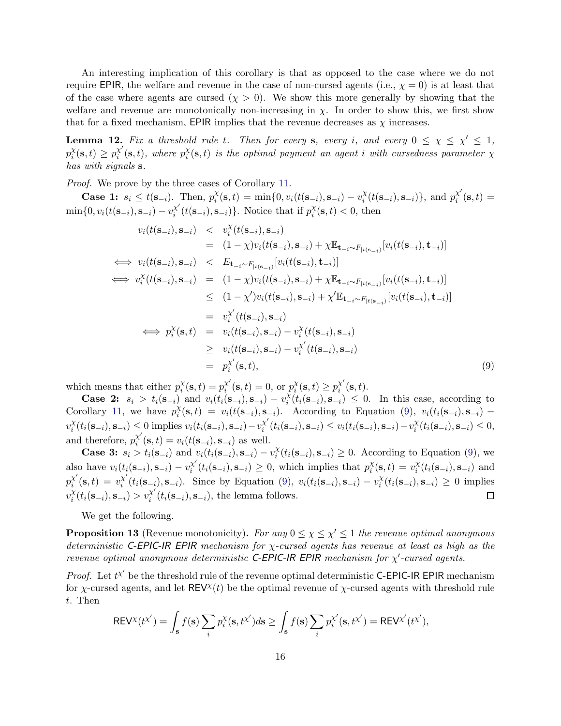An interesting implication of this corollary is that as opposed to the case where we do not require EPIR, the welfare and revenue in the case of non-cursed agents (i.e.,  $\chi = 0$ ) is at least that of the case where agents are cursed  $(\chi > 0)$ . We show this more generally by showing that the welfare and revenue are monotonically non-increasing in  $\chi$ . In order to show this, we first show that for a fixed mechanism, EPIR implies that the revenue decreases as  $\chi$  increases.

<span id="page-15-2"></span>**Lemma 12.** Fix a threshold rule t. Then for every s, every i, and every  $0 \leq \chi \leq \chi' \leq 1$ ,  $p_i^{\chi}$  $\chi_i^{\chi}(\mathbf{s},t) \geq p_i^{\chi'}$  $x_i^{\chi'}(\mathbf{s},t)$ , where  $p_i^{\chi}$  $\chi^{\chi}(\mathbf{s},t)$  *is the optimal payment an agent i with cursedness parameter*  $\chi$ *has with signals* s*.*

*Proof.* We prove by the three cases of Corollary [11.](#page-14-1)

**Case 1:**  $s_i \leq t(\mathbf{s}_{-i})$ . Then,  $p_i^{\chi}$  $\chi_i^{\chi}(\mathbf{s},t) = \min\{0, v_i(t(\mathbf{s}_{-i}), \mathbf{s}_{-i}) - v_i^{\chi}\}$  $\chi^{\chi}(t(\mathbf{s}_{-i}), \mathbf{s}_{-i})\}, \text{ and } p^{\chi'}_i$  $\sum_{i}^{X}\left(\mathbf{s},t\right)=$  $\min\{0, v_i(t(\mathbf{s}_{-i}), \mathbf{s}_{-i}) - v_i^{\chi'}\}$  $x_i^{\chi'}(t(\mathbf{s}_{-i}), \mathbf{s}_{-i})\}$ . Notice that if  $p_i^{\chi'}$  $\chi_i^{\chi}(\mathbf{s},t) < 0$ , then

<span id="page-15-1"></span>
$$
v_i(t(\mathbf{s}_{-i}), \mathbf{s}_{-i}) \leq v_i^{\chi}(t(\mathbf{s}_{-i}), \mathbf{s}_{-i})
$$
\n
$$
= (1 - \chi)v_i(t(\mathbf{s}_{-i}), \mathbf{s}_{-i}) + \chi \mathbb{E}_{\mathbf{t}_{-i} \sim F_{|t(\mathbf{s}_{-i})}}[v_i(t(\mathbf{s}_{-i}), \mathbf{t}_{-i})]
$$
\n
$$
\iff v_i(t(\mathbf{s}_{-i}), \mathbf{s}_{-i}) \leq E_{\mathbf{t}_{-i} \sim F_{|t(\mathbf{s}_{-i})}}[v_i(t(\mathbf{s}_{-i}), \mathbf{t}_{-i})]
$$
\n
$$
\iff v_i^{\chi}(t(\mathbf{s}_{-i}), \mathbf{s}_{-i}) = (1 - \chi)v_i(t(\mathbf{s}_{-i}), \mathbf{s}_{-i}) + \chi \mathbb{E}_{\mathbf{t}_{-i} \sim F_{|t(\mathbf{s}_{-i})}}[v_i(t(\mathbf{s}_{-i}), \mathbf{t}_{-i})]
$$
\n
$$
\leq (1 - \chi')v_i(t(\mathbf{s}_{-i}), \mathbf{s}_{-i}) + \chi' \mathbb{E}_{\mathbf{t}_{-i} \sim F_{|t(\mathbf{s}_{-i})}}[v_i(t(\mathbf{s}_{-i}), \mathbf{t}_{-i})]
$$
\n
$$
= v_i^{\chi'}(t(\mathbf{s}_{-i}), \mathbf{s}_{-i})
$$
\n
$$
\iff p_i^{\chi}(\mathbf{s}, t) = v_i(t(\mathbf{s}_{-i}), \mathbf{s}_{-i}) - v_i^{\chi}(t(\mathbf{s}_{-i}), \mathbf{s}_{-i})
$$
\n
$$
\geq v_i(t(\mathbf{s}_{-i}), \mathbf{s}_{-i}) - v_i^{\chi'}(t(\mathbf{s}_{-i}), \mathbf{s}_{-i})
$$
\n
$$
= p_i^{\chi'}(\mathbf{s}, t), \tag{9}
$$

which means that either  $p_i^{\chi}$  $\chi_i^{\chi}(\mathbf{s},t) = p_i^{\chi'}$  $x_i^{\chi'}(\mathbf{s},t)=0$ , or  $p_i^{\chi}$  $\chi_i^{\chi}(\mathbf{s},t) \geq p_i^{\chi'}$  $\chi_i^{\chi}(\mathbf{s},t)$ .

**Case 2:**  $s_i > t_i(s_{-i})$  and  $v_i(t_i(s_{-i}), s_{-i}) - v_i^{\bar{X}}$  $\lambda_i^{\chi}(t_i(\mathbf{s}_{-i}), \mathbf{s}_{-i}) \leq 0$ . In this case, according to Corollary [11,](#page-14-1) we have  $p_i^{\chi}$  $i<sub>i</sub>(s,t) = v<sub>i</sub>(t(s_{-i}), s_{-i}).$  According to Equation [\(9\)](#page-15-1),  $v<sub>i</sub>(t<sub>i</sub>(s_{-i}), s_{-i})$  $v_i^{\chi}$  $\chi_i^{\chi}(t_i(\mathbf{s}_{-i}), \mathbf{s}_{-i}) \leq 0 \text{ implies } v_i(t_i(\mathbf{s}_{-i}), \mathbf{s}_{-i}) - v_i^{\chi'}$  $x_i^{\chi'}(t_i(\mathbf{s}_{-i}), \mathbf{s}_{-i}) \le v_i(t_i(\mathbf{s}_{-i}), \mathbf{s}_{-i}) - v_i^{\chi'}$  $\chi_i^{\chi}(t_i(\mathbf{s}_{-i}), \mathbf{s}_{-i}) \leq 0,$ and therefore,  $p_i^{\chi'}$  $i_i^{\chi}(\mathbf{s}, t) = v_i(t(\mathbf{s}_{-i}), \mathbf{s}_{-i})$  as well.

**Case 3:**  $s_i > t_i(s_{-i})$  and  $v_i(t_i(s_{-i}), s_{-i}) - v_i^x$  $\lambda_i^{\chi}(t_i(\mathbf{s}_{-i}), \mathbf{s}_{-i}) \geq 0$ . According to Equation [\(9\)](#page-15-1), we also have  $v_i(t_i(\mathbf{s}_{-i}), \mathbf{s}_{-i}) - v_i^{\chi'}$  $x_i^{\chi'}(t_i(\mathbf{s}_{-i}), \mathbf{s}_{-i}) \geq 0$ , which implies that  $p_i^{\chi'}$  $\chi_i^{\chi}(\mathbf{s},t) = v_i^{\chi}$  $\chi_i^{\chi}(t_i(\mathbf{s}_{-i}), \mathbf{s}_{-i})$  and  $p_i^{\chi'}$  $\chi'(\mathbf{s},t) = v^{\chi'}_i$  $x_i^{\chi'}(t_i(\mathbf{s}_{-i}), \mathbf{s}_{-i})$ . Since by Equation [\(9\)](#page-15-1),  $v_i(t_i(\mathbf{s}_{-i}), \mathbf{s}_{-i}) - v_i^{\chi'}$  $\chi_i^{\chi}(t_i(\mathbf{s}_{-i}), \mathbf{s}_{-i}) \geq 0$  implies  $\chi_i^{\chi}(t_i(\mathbf{s}_{-i}), \mathbf{s}_{-i}) > v_i^{\chi'}$  $v_i^{\chi}$  $i<sup>x</sup>(t<sub>i</sub>(**s**<sub>-i</sub>), **s**<sub>-i</sub>),$  the lemma follows.  $\Box$ 

We get the following.

<span id="page-15-0"></span>**Proposition 13** (Revenue monotonicity). *For any*  $0 \leq \chi \leq \chi' \leq 1$  *the revenue optimal anonymous deterministic* C-EPIC-IR EPIR *mechanism for* χ*-cursed agents has revenue at least as high as the revenue optimal anonymous deterministic* C-EPIC-IR EPIR *mechanism for* χ ′ *-cursed agents.*

*Proof.* Let  $t^{\chi'}$  be the threshold rule of the revenue optimal deterministic C-EPIC-IR EPIR mechanism for  $\chi$ -cursed agents, and let REV<sup> $\chi$ </sup>(*t*) be the optimal revenue of  $\chi$ -cursed agents with threshold rule t. Then

$$
\mathsf{REV}^{\chi}(t^{\chi'}) = \int_{\mathbf{s}} f(\mathbf{s}) \sum_{i} p_i^{\chi}(\mathbf{s}, t^{\chi'}) d\mathbf{s} \ge \int_{\mathbf{s}} f(\mathbf{s}) \sum_{i} p_i^{\chi'}(\mathbf{s}, t^{\chi'}) = \mathsf{REV}^{\chi'}(t^{\chi'}),
$$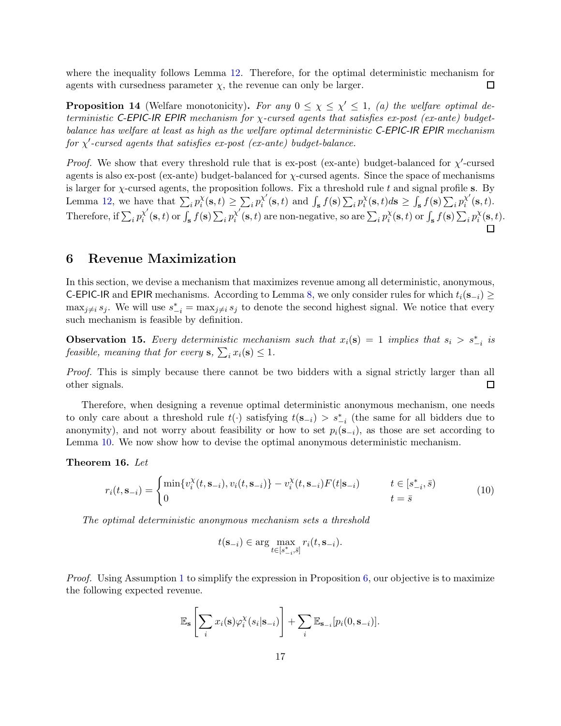where the inequality follows Lemma [12.](#page-15-2) Therefore, for the optimal deterministic mechanism for  $\Box$ agents with cursedness parameter  $\chi$ , the revenue can only be larger.

<span id="page-16-0"></span>**Proposition 14** (Welfare monotonicity). For any  $0 \leq \chi \leq \chi' \leq 1$ , (a) the welfare optimal de*terministic* C-EPIC-IR EPIR *mechanism for* χ*-cursed agents that satisfies ex-post (ex-ante) budgetbalance has welfare at least as high as the welfare optimal deterministic* C-EPIC-IR EPIR *mechanism for* χ ′ *-cursed agents that satisfies ex-post (ex-ante) budget-balance.*

*Proof.* We show that every threshold rule that is ex-post (ex-ante) budget-balanced for  $\chi'$ -cursed agents is also ex-post (ex-ante) budget-balanced for χ-cursed agents. Since the space of mechanisms is larger for χ-cursed agents, the proposition follows. Fix a threshold rule t and signal profile s. By Lemma [12,](#page-15-2) we have that  $\sum_i p_i^{\chi}$  $\frac{\chi}{i}(\mathbf{s},t) \geq \sum_i p_i^{\chi'}$  $x_i^{\prime}(\mathbf{s},t)$  and  $\int_{\mathbf{s}} f(\mathbf{s}) \sum_i p_i^{\chi}$  $\sum_{i}^{\chi}(\mathbf{s},t)d\mathbf{s} \geq \int_{\mathbf{s}}^{\cdot}f(\mathbf{s})\sum_{i}^{\chi'}p^{\chi'}_i$  $\sum_{i}^{x}(s,t).$ Therefore, if  $\sum_i p_i^{\chi'}$  $\chi'_{i}(\mathbf{s},t)$  or  $\int_{\mathbf{s}} f(\mathbf{s}) \sum_{i} p_i^{\chi'}$  $\chi'_{i}(\mathbf{s},t)$  are non-negative, so are  $\sum_{i} p_i^{\chi_{i}}$  $\chi_i^{\chi}(\mathbf{s},t)$  or  $\int_{\mathbf{s}} f(\mathbf{s}) \sum_i p_i^{\chi}$  $\chi_i^{\chi}(\mathbf{s},t)$ .

## <span id="page-16-1"></span>6 Revenue Maximization

In this section, we devise a mechanism that maximizes revenue among all deterministic, anonymous, C-EPIC-IR and EPIR mechanisms. According to Lemma [8,](#page-13-1) we only consider rules for which  $t_i(s_{-i})$  >  $\max_{j\neq i} s_j$ . We will use  $s_{-i}^* = \max_{j\neq i} s_j$  to denote the second highest signal. We notice that every such mechanism is feasible by definition.

<span id="page-16-3"></span>**Observation 15.** Every deterministic mechanism such that  $x_i(\mathbf{s}) = 1$  implies that  $s_i > s_{-i}^*$  is *feasible, meaning that for every* **s**,  $\sum_i x_i(\mathbf{s}) \leq 1$ *.* 

*Proof.* This is simply because there cannot be two bidders with a signal strictly larger than all other signals.  $\Box$ 

Therefore, when designing a revenue optimal deterministic anonymous mechanism, one needs to only care about a threshold rule  $t(\cdot)$  satisfying  $t(s_{-i}) > s_{-i}^*$  (the same for all bidders due to anonymity), and not worry about feasibility or how to set  $p_i(\mathbf{s}_{-i})$ , as those are set according to Lemma [10.](#page-14-0) We now show how to devise the optimal anonymous deterministic mechanism.

#### Theorem 16. *Let*

<span id="page-16-2"></span>
$$
r_i(t, \mathbf{s}_{-i}) = \begin{cases} \min\{v_i^{\chi}(t, \mathbf{s}_{-i}), v_i(t, \mathbf{s}_{-i})\} - v_i^{\chi}(t, \mathbf{s}_{-i})F(t|\mathbf{s}_{-i}) & t \in [s_{-i}^*, \bar{s})\\ 0 & t = \bar{s} \end{cases} \tag{10}
$$

*The optimal deterministic anonymous mechanism sets a threshold*

$$
t(\mathbf{s}_{-i}) \in \arg\max_{t \in [s^*_{-i}, \bar{s}]} r_i(t, \mathbf{s}_{-i}).
$$

*Proof.* Using Assumption [1](#page-6-1) to simplify the expression in Proposition [6,](#page-12-2) our objective is to maximize the following expected revenue.

$$
\mathbb{E}_{\mathbf{s}}\left[\sum_{i} x_i(\mathbf{s}) \varphi_i^{\chi}(s_i|\mathbf{s}_{-i})\right] + \sum_{i} \mathbb{E}_{\mathbf{s}_{-i}}[p_i(0,\mathbf{s}_{-i})].
$$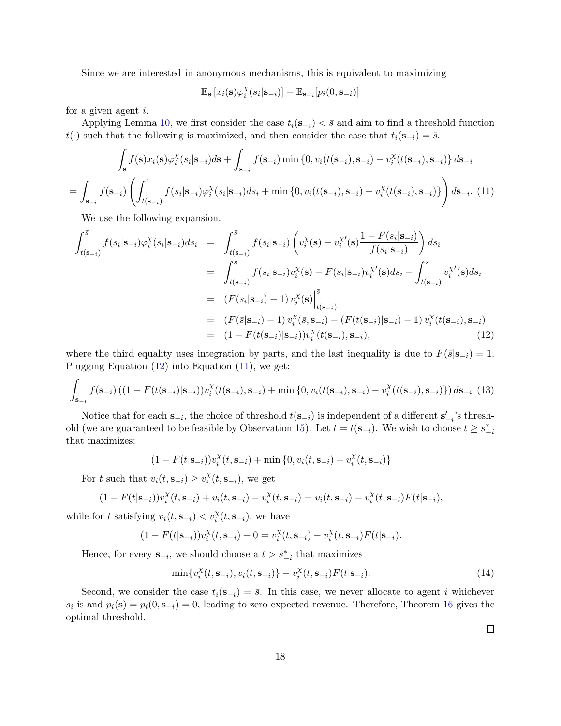Since we are interested in anonymous mechanisms, this is equivalent to maximizing

$$
\mathbb{E}_{\mathbf{s}}\left[x_i(\mathbf{s})\varphi_i^{\chi}(s_i|\mathbf{s}_{-i})\right] + \mathbb{E}_{\mathbf{s}_{-i}}[p_i(0,\mathbf{s}_{-i})]
$$

for a given agent i.

Applying Lemma [10,](#page-14-0) we first consider the case  $t_i(s_{-i}) < \bar{s}$  and aim to find a threshold function t(·) such that the following is maximized, and then consider the case that  $t_i(s_{-i}) = \overline{s}$ .

<span id="page-17-1"></span>
$$
\int_{\mathbf{s}} f(\mathbf{s}) x_i(\mathbf{s}) \varphi_i^{\chi}(s_i | \mathbf{s}_{-i}) d\mathbf{s} + \int_{\mathbf{s}_{-i}} f(\mathbf{s}_{-i}) \min \left\{ 0, v_i(t(\mathbf{s}_{-i}), \mathbf{s}_{-i}) - v_i^{\chi}(t(\mathbf{s}_{-i}), \mathbf{s}_{-i}) \right\} d\mathbf{s}_{-i}
$$
\n
$$
= \int_{\mathbf{s}_{-i}} f(\mathbf{s}_{-i}) \left( \int_{t(\mathbf{s}_{-i})}^1 f(s_i | \mathbf{s}_{-i}) \varphi_i^{\chi}(s_i | \mathbf{s}_{-i}) d s_i + \min \left\{ 0, v_i(t(\mathbf{s}_{-i}), \mathbf{s}_{-i}) - v_i^{\chi}(t(\mathbf{s}_{-i}), \mathbf{s}_{-i}) \right\} \right) d\mathbf{s}_{-i}.
$$
\n(11)

We use the following expansion.

<span id="page-17-0"></span>
$$
\int_{t(\mathbf{s}_{-i})}^{\bar{s}} f(s_i|\mathbf{s}_{-i}) \varphi_i^{\chi}(s_i|\mathbf{s}_{-i}) ds_i = \int_{t(\mathbf{s}_{-i})}^{\bar{s}} f(s_i|\mathbf{s}_{-i}) \left( v_i^{\chi}(\mathbf{s}) - v_i^{\chi \prime}(\mathbf{s}) \frac{1 - F(s_i|\mathbf{s}_{-i})}{f(s_i|\mathbf{s}_{-i})} \right) ds_i
$$
\n
$$
= \int_{t(\mathbf{s}_{-i})}^{\bar{s}} f(s_i|\mathbf{s}_{-i}) v_i^{\chi}(\mathbf{s}) + F(s_i|\mathbf{s}_{-i}) v_i^{\chi \prime}(\mathbf{s}) ds_i - \int_{t(\mathbf{s}_{-i})}^{\bar{s}} v_i^{\chi \prime}(\mathbf{s}) ds_i
$$
\n
$$
= (F(s_i|\mathbf{s}_{-i}) - 1) v_i^{\chi}(\mathbf{s}) \Big|_{t(\mathbf{s}_{-i})}^{\bar{s}}
$$
\n
$$
= (F(\bar{s}|\mathbf{s}_{-i}) - 1) v_i^{\chi}(\bar{s}, \mathbf{s}_{-i}) - (F(t(\mathbf{s}_{-i})|\mathbf{s}_{-i}) - 1) v_i^{\chi}(t(\mathbf{s}_{-i}), \mathbf{s}_{-i})
$$
\n
$$
= (1 - F(t(\mathbf{s}_{-i})|\mathbf{s}_{-i})) v_i^{\chi}(t(\mathbf{s}_{-i}), \mathbf{s}_{-i}), \qquad (12)
$$

where the third equality uses integration by parts, and the last inequality is due to  $F(\bar{s}|s_{-i}) = 1$ . Plugging Equation [\(12\)](#page-17-0) into Equation [\(11\)](#page-17-1), we get:

$$
\int_{\mathbf{S}_{-i}} f(\mathbf{s}_{-i}) \left( (1 - F(t(\mathbf{s}_{-i})|\mathbf{s}_{-i})) v_i^{\chi}(t(\mathbf{s}_{-i}), \mathbf{s}_{-i}) + \min\left\{0, v_i(t(\mathbf{s}_{-i}), \mathbf{s}_{-i}) - v_i^{\chi}(t(\mathbf{s}_{-i}), \mathbf{s}_{-i})\right\} \right) d\mathbf{s}_{-i} \tag{13}
$$

Notice that for each  $\mathbf{s}_{-i}$ , the choice of threshold  $t(\mathbf{s}_{-i})$  is independent of a different  $\mathbf{s}'_{-i}$ 's thresh-old (we are guaranteed to be feasible by Observation [15\)](#page-16-3). Let  $t = t(\mathbf{s}_{-i})$ . We wish to choose  $t \geq s_{-i}^*$ that maximizes:

$$
(1 - F(t|\mathbf{s}_{-i}))v_i^{\chi}(t, \mathbf{s}_{-i}) + \min\{0, v_i(t, \mathbf{s}_{-i}) - v_i^{\chi}(t, \mathbf{s}_{-i})\}
$$

For t such that  $v_i(t, \mathbf{s}_{-i}) \geq v_i^{\chi}$  $i^{\chi}(t, \mathbf{s}_{-i}),$  we get

$$
(1 - F(t|{\bf s}_{-i}))v_i^{\chi}(t, {\bf s}_{-i}) + v_i(t, {\bf s}_{-i}) - v_i^{\chi}(t, {\bf s}_{-i}) = v_i(t, {\bf s}_{-i}) - v_i^{\chi}(t, {\bf s}_{-i})F(t|{\bf s}_{-i}),
$$

while for t satisfying  $v_i(t, \mathbf{s}_{-i}) < v_i^{\chi}(t, \mathbf{s}_{-i})$ , we have

$$
(1 - F(t|{\bf s}_{-i}))v_i^{\chi}(t,{\bf s}_{-i}) + 0 = v_i^{\chi}(t,{\bf s}_{-i}) - v_i^{\chi}(t,{\bf s}_{-i})F(t|{\bf s}_{-i}).
$$

Hence, for every  $\mathbf{s}_{-i}$ , we should choose a  $t > s_{-i}^*$  that maximizes

$$
\min\{v_i^{\chi}(t,\mathbf{s}_{-i}),v_i(t,\mathbf{s}_{-i})\}-v_i^{\chi}(t,\mathbf{s}_{-i})F(t|\mathbf{s}_{-i}).
$$
\n(14)

Second, we consider the case  $t_i(s_{-i}) = \bar{s}$ . In this case, we never allocate to agent i whichever  $s_i$  is and  $p_i(\mathbf{s}) = p_i(0, \mathbf{s}_{-i}) = 0$ , leading to zero expected revenue. Therefore, Theorem [16](#page-16-2) gives the optimal threshold.

 $\Box$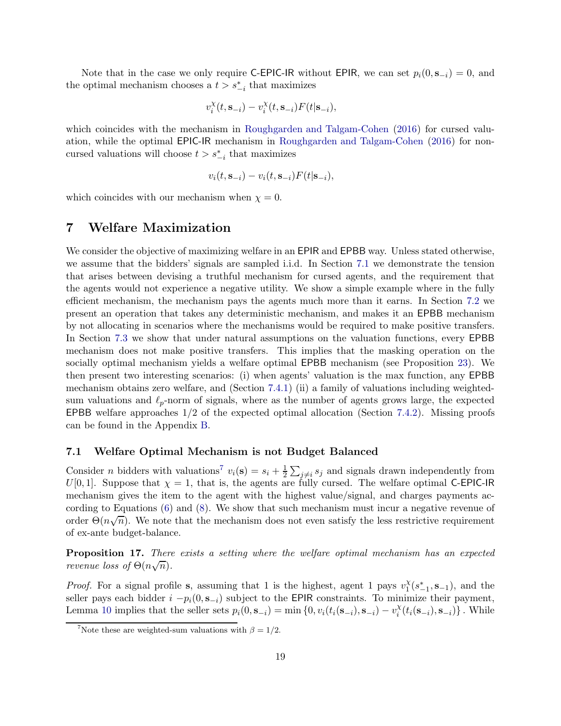Note that in the case we only require C-EPIC-IR without EPIR, we can set  $p_i(0, s_{-i}) = 0$ , and the optimal mechanism chooses a  $t > s_{-i}^*$  that maximizes

$$
v_i^{\chi}(t, \mathbf{s}_{-i}) - v_i^{\chi}(t, \mathbf{s}_{-i}) F(t | \mathbf{s}_{-i}),
$$

which coincides with the mechanism in [Roughgarden and Talgam-Cohen](#page-29-3) [\(2016](#page-29-3)) for cursed valuation, while the optimal EPIC-IR mechanism in [Roughgarden and Talgam-Cohen](#page-29-3) [\(2016\)](#page-29-3) for noncursed valuations will choose  $t > s_{-i}^*$  that maximizes

$$
v_i(t, \mathbf{s}_{-i}) - v_i(t, \mathbf{s}_{-i}) F(t|\mathbf{s}_{-i}),
$$

which coincides with our mechanism when  $\chi = 0$ .

## 7 Welfare Maximization

We consider the objective of maximizing welfare in an EPIR and EPBB way. Unless stated otherwise, we assume that the bidders' signals are sampled i.i.d. In Section [7.1](#page-18-1) we demonstrate the tension that arises between devising a truthful mechanism for cursed agents, and the requirement that the agents would not experience a negative utility. We show a simple example where in the fully efficient mechanism, the mechanism pays the agents much more than it earns. In Section [7.2](#page-19-0) we present an operation that takes any deterministic mechanism, and makes it an EPBB mechanism by not allocating in scenarios where the mechanisms would be required to make positive transfers. In Section [7.3](#page-20-0) we show that under natural assumptions on the valuation functions, every EPBB mechanism does not make positive transfers. This implies that the masking operation on the socially optimal mechanism yields a welfare optimal EPBB mechanism (see Proposition [23\)](#page-22-0). We then present two interesting scenarios: (i) when agents' valuation is the max function, any EPBB mechanism obtains zero welfare, and (Section [7.4.1\)](#page-23-1) (ii) a family of valuations including weightedsum valuations and  $\ell_p$ -norm of signals, where as the number of agents grows large, the expected EPBB welfare approaches 1/2 of the expected optimal allocation (Section [7.4.2\)](#page-23-2). Missing proofs can be found in the Appendix [B.](#page-29-8)

#### <span id="page-18-1"></span>7.1 Welfare Optimal Mechanism is not Budget Balanced

Consider *n* bidders with valuations<sup>[7](#page-18-2)</sup>  $v_i(\mathbf{s}) = s_i + \frac{1}{2}$  $\frac{1}{2}\sum_{j\neq i}s_j$  and signals drawn independently from  $U[0, 1]$ . Suppose that  $\chi = 1$ , that is, the agents are fully cursed. The welfare optimal C-EPIC-IR mechanism gives the item to the agent with the highest value/signal, and charges payments according to Equations [\(6\)](#page-11-1) and [\(8\)](#page-13-2). We show that such mechanism must incur a negative revenue of order  $\Theta(n\sqrt{n})$ . We note that the mechanism does not even satisfy the less restrictive requirement of ex-ante budget-balance.

<span id="page-18-0"></span>Proposition 17. *There exists a setting where the welfare optimal mechanism has an expected revenue loss of*  $\Theta(n\sqrt{n})$ *.* 

*Proof.* For a signal profile s, assuming that 1 is the highest, agent 1 pays  $v_1^{\chi}$  $\frac{\chi}{1}(s_{-1}^*, \mathbf{s}_{-1}),$  and the seller pays each bidder  $i - p_i(0, s_{-i})$  subject to the EPIR constraints. To minimize their payment, Lemma [10](#page-14-0) implies that the seller sets  $p_i(0, \mathbf{s}_{-i}) = \min\{0, v_i(t_i(\mathbf{s}_{-i}), \mathbf{s}_{-i}) - v_i^X\}$  $\binom{\chi}{i}(t_i(\mathbf{s}_{-i}), \mathbf{s}_{-i})\}$ . While

<span id="page-18-2"></span><sup>&</sup>lt;sup>7</sup>Note these are weighted-sum valuations with  $\beta = 1/2$ .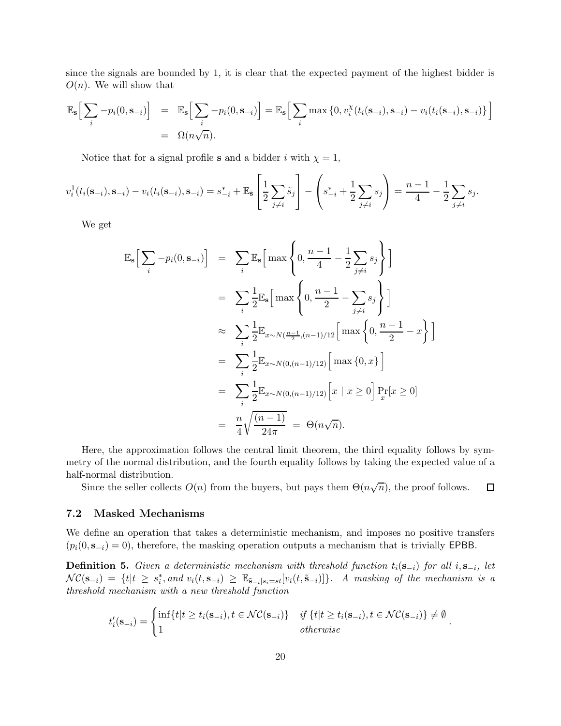since the signals are bounded by 1, it is clear that the expected payment of the highest bidder is  $O(n)$ . We will show that

$$
\mathbb{E}_{\mathbf{s}}\Big[\sum_{i}-p_i(0,\mathbf{s}_{-i})\Big] = \mathbb{E}_{\mathbf{s}}\Big[\sum_{i}-p_i(0,\mathbf{s}_{-i})\Big] = \mathbb{E}_{\mathbf{s}}\Big[\sum_{i}\max\big\{0,v_i^{\chi}(t_i(\mathbf{s}_{-i}),\mathbf{s}_{-i})-v_i(t_i(\mathbf{s}_{-i}),\mathbf{s}_{-i})\big\}\Big]
$$
  
=  $\Omega(n\sqrt{n}).$ 

Notice that for a signal profile s and a bidder i with  $\chi = 1$ ,

$$
v_i^1(t_i(\mathbf{s}_{-i}), \mathbf{s}_{-i}) - v_i(t_i(\mathbf{s}_{-i}), \mathbf{s}_{-i}) = s_{-i}^* + \mathbb{E}_{\tilde{\mathbf{s}}}\left[\frac{1}{2}\sum_{j\neq i}\tilde{s}_j\right] - \left(s_{-i}^* + \frac{1}{2}\sum_{j\neq i}s_j\right) = \frac{n-1}{4} - \frac{1}{2}\sum_{j\neq i}s_j.
$$

We get

$$
\mathbb{E}_{\mathbf{s}}\Big[\sum_{i}-p_{i}(0,\mathbf{s}_{-i})\Big] = \sum_{i}\mathbb{E}_{\mathbf{s}}\Big[\max\left\{0,\frac{n-1}{4}-\frac{1}{2}\sum_{j\neq i}s_{j}\right\}\Big]
$$
  
\n
$$
= \sum_{i}\frac{1}{2}\mathbb{E}_{\mathbf{s}}\Big[\max\left\{0,\frac{n-1}{2}-\sum_{j\neq i}s_{j}\right\}\Big]
$$
  
\n
$$
\approx \sum_{i}\frac{1}{2}\mathbb{E}_{x\sim N(\frac{n-1}{2},(n-1)/12)}\Big[\max\left\{0,\frac{n-1}{2}-x\right\}\Big]
$$
  
\n
$$
= \sum_{i}\frac{1}{2}\mathbb{E}_{x\sim N(0,(n-1)/12)}\Big[\max\{0,x\}\Big]
$$
  
\n
$$
= \sum_{i}\frac{1}{2}\mathbb{E}_{x\sim N(0,(n-1)/12)}\Big[x \mid x\geq 0\Big]\Pr_{x}[x\geq 0]
$$
  
\n
$$
= \frac{n}{4}\sqrt{\frac{(n-1)}{24\pi}} = \Theta(n\sqrt{n}).
$$

Here, the approximation follows the central limit theorem, the third equality follows by symmetry of the normal distribution, and the fourth equality follows by taking the expected value of a half-normal distribution.

Since the seller collects  $O(n)$  from the buyers, but pays them  $\Theta(n\sqrt{n})$ , the proof follows.  $\Box$ 

#### <span id="page-19-0"></span>7.2 Masked Mechanisms

We define an operation that takes a deterministic mechanism, and imposes no positive transfers  $(p_i(0, s_{-i}) = 0)$ , therefore, the masking operation outputs a mechanism that is trivially EPBB.

<span id="page-19-1"></span>**Definition 5.** *Given a deterministic mechanism with threshold function*  $t_i(\mathbf{s}_{-i})$  *for all*  $i, \mathbf{s}_{-i}$ *, let*  $NC(\mathbf{s}_{-i}) = \{t | t \geq s_i^*$ , and  $v_i(t, \mathbf{s}_{-i}) \geq \mathbb{E}_{\tilde{\mathbf{s}}_{-i}|s_i = st}[v_i(t, \tilde{\mathbf{s}}_{-i})] \}$ . A masking of the mechanism is a *threshold mechanism with a new threshold function*

$$
t'_{i}(\mathbf{s}_{-i}) = \begin{cases} \inf\{t|t \ge t_{i}(\mathbf{s}_{-i}), t \in \mathcal{NC}(\mathbf{s}_{-i})\} & \text{if } \{t|t \ge t_{i}(\mathbf{s}_{-i}), t \in \mathcal{NC}(\mathbf{s}_{-i})\} \ne \emptyset \\ 1 & \text{otherwise} \end{cases}
$$

.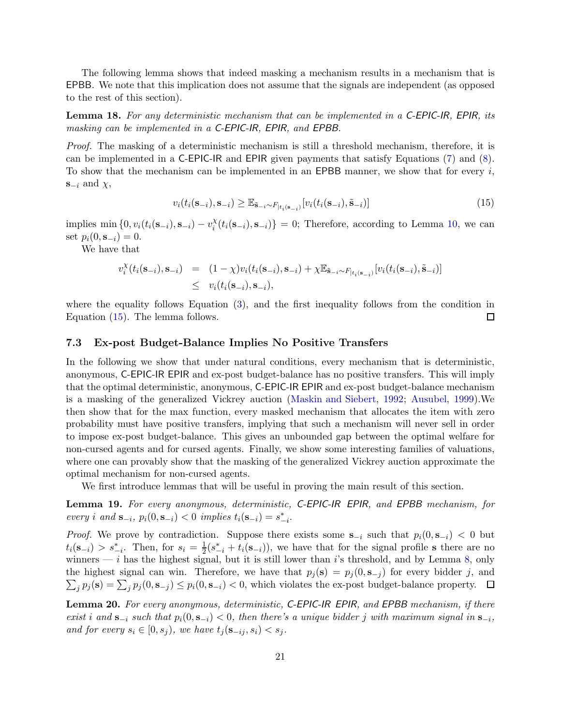The following lemma shows that indeed masking a mechanism results in a mechanism that is EPBB. We note that this implication does not assume that the signals are independent (as opposed to the rest of this section).

Lemma 18. *For any deterministic mechanism that can be implemented in a* C-EPIC-IR*,* EPIR*, its masking can be implemented in a* C-EPIC-IR*,* EPIR*, and* EPBB*.*

*Proof.* The masking of a deterministic mechanism is still a threshold mechanism, therefore, it is can be implemented in a C-EPIC-IR and EPIR given payments that satisfy Equations [\(7\)](#page-11-2) and [\(8\)](#page-13-2). To show that the mechanism can be implemented in an EPBB manner, we show that for every  $i$ ,  $s_{-i}$  and  $\chi$ ,

<span id="page-20-1"></span>
$$
v_i(t_i(\mathbf{s}_{-i}), \mathbf{s}_{-i}) \ge \mathbb{E}_{\tilde{\mathbf{s}}_{-i} \sim F_{|t_i(\mathbf{s}_{-i})}}[v_i(t_i(\mathbf{s}_{-i}), \tilde{\mathbf{s}}_{-i})] \tag{15}
$$

implies min  $\{0, v_i(t_i(\mathbf{s}_{-i}), \mathbf{s}_{-i}) - v_i^X\}$  $\{X_i^{\chi}(t_i(\mathbf{s}_{-i}), \mathbf{s}_{-i})\} = 0$ ; Therefore, according to Lemma [10,](#page-14-0) we can set  $p_i(0, s_{-i}) = 0$ .

We have that

$$
v_i^{\chi}(t_i(\mathbf{s}_{-i}), \mathbf{s}_{-i}) = (1 - \chi)v_i(t_i(\mathbf{s}_{-i}), \mathbf{s}_{-i}) + \chi \mathbb{E}_{\tilde{\mathbf{s}}_{-i} \sim F_{|t_i(\mathbf{s}_{-i})}}[v_i(t_i(\mathbf{s}_{-i}), \tilde{\mathbf{s}}_{-i})]
$$
  
 
$$
\leq v_i(t_i(\mathbf{s}_{-i}), \mathbf{s}_{-i}),
$$

where the equality follows Equation [\(3\)](#page-8-1), and the first inequality follows from the condition in Equation [\(15\)](#page-20-1). The lemma follows. 口

#### <span id="page-20-0"></span>7.3 Ex-post Budget-Balance Implies No Positive Transfers

In the following we show that under natural conditions, every mechanism that is deterministic, anonymous, C-EPIC-IR EPIR and ex-post budget-balance has no positive transfers. This will imply that the optimal deterministic, anonymous, C-EPIC-IR EPIR and ex-post budget-balance mechanism is a masking of the generalized Vickrey auction [\(Maskin and Siebert,](#page-28-6) [1992](#page-28-6); [Ausubel,](#page-26-5) [1999](#page-26-5)).We then show that for the max function, every masked mechanism that allocates the item with zero probability must have positive transfers, implying that such a mechanism will never sell in order to impose ex-post budget-balance. This gives an unbounded gap between the optimal welfare for non-cursed agents and for cursed agents. Finally, we show some interesting families of valuations, where one can provably show that the masking of the generalized Vickrey auction approximate the optimal mechanism for non-cursed agents.

We first introduce lemmas that will be useful in proving the main result of this section.

<span id="page-20-3"></span>Lemma 19. *For every anonymous, deterministic,* C-EPIC-IR EPIR*, and* EPBB *mechanism, for every i* and **s**<sub>-*i*</sub>,  $p_i(0, \mathbf{s}_{-i}) < 0$  *implies*  $t_i(\mathbf{s}_{-i}) = s^*_{-i}$ .

*Proof.* We prove by contradiction. Suppose there exists some  $s_{-i}$  such that  $p_i(0, s_{-i}) < 0$  but  $t_i(s_{-i}) > s_{-i}^*$ . Then, for  $s_i = \frac{1}{2}$  $\frac{1}{2}(s_{-i}^* + t_i(\mathbf{s}_{-i})),$  we have that for the signal profile s there are no winners — i has the highest signal, but it is still lower than i's threshold, and by Lemma [8,](#page-13-1) only the highest signal can win. Therefore, we have that  $p_j(\mathbf{s}) = p_j(0, \mathbf{s}_{-j})$  for every bidder j, and  $\sum_j p_j(\mathbf{s}) = \sum_j p_j(0, \mathbf{s}_{-j}) \le p_i(0, \mathbf{s}_{-i}) < 0$ , which violates the ex-post budget-balance property.

<span id="page-20-2"></span>Lemma 20. *For every anonymous, deterministic,* C-EPIC-IR EPIR*, and* EPBB *mechanism, if there exist i* and  $\mathbf{s}_{-i}$  *such that*  $p_i(0, \mathbf{s}_{-i}) < 0$ , then there's a unique bidder j with maximum signal in  $\mathbf{s}_{-i}$ , *and for every*  $s_i \in [0, s_j)$ *, we have*  $t_j(\mathbf{s}_{-ij}, s_i) < s_j$ *.*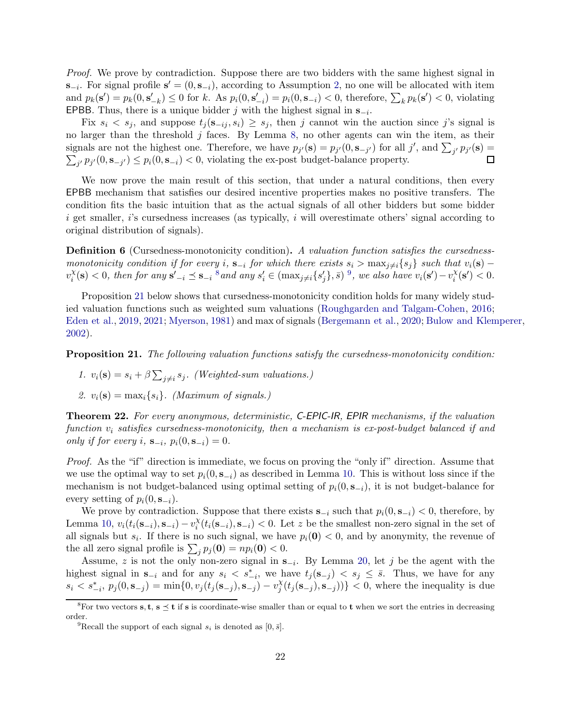*Proof.* We prove by contradiction. Suppose there are two bidders with the same highest signal in  $\mathbf{s}_{-i}$ . For signal profile  $\mathbf{s}' = (0, \mathbf{s}_{-i})$ , according to Assumption [2,](#page-6-2) no one will be allocated with item and  $p_k(\mathbf{s}') = p_k(0, \mathbf{s}'_{-k}) \leq 0$  for k. As  $p_i(0, \mathbf{s}'_{-i}) = p_i(0, \mathbf{s}_{-i}) < 0$ , therefore,  $\sum_k p_k(\mathbf{s}') < 0$ , violating EPBB. Thus, there is a unique bidder j with the highest signal in  $s_{-i}$ .

Fix  $s_i < s_j$ , and suppose  $t_j(s_{-ij}, s_i) \geq s_j$ , then j cannot win the auction since j's signal is no larger than the threshold  $j$  faces. By Lemma [8,](#page-13-1) no other agents can win the item, as their signals are not the highest one. Therefore, we have  $p_{j'}(\mathbf{s}) = p_{j'}(0, \mathbf{s}_{-j'})$  for all j', and  $\sum_{j'} p_{j'}(\mathbf{s}) =$  $\sum_{j'} p_{j'}(0, \mathbf{s}_{-j'}) \leq p_i(0, \mathbf{s}_{-i}) < 0$ , violating the ex-post budget-balance property.  $\Box$ 

We now prove the main result of this section, that under a natural conditions, then every EPBB mechanism that satisfies our desired incentive properties makes no positive transfers. The condition fits the basic intuition that as the actual signals of all other bidders but some bidder i get smaller, i's cursedness increases (as typically, i will overestimate others' signal according to original distribution of signals).

Definition 6 (Cursedness-monotonicity condition). *A valuation function satisfies the cursednessmonotonicity condition if for every* i,  $\mathbf{s}_{-i}$  *for which there exists*  $s_i > \max_{j \neq i} \{s_j\}$  *such that*  $v_i(\mathbf{s})$  –  $v_i^{\chi}$  $\mathcal{E}_i^{\chi}(\mathbf{s}) < 0$ , then for any  $\mathbf{s}'_{-i} \preceq \mathbf{s}_{-i}$  <sup>[8](#page-21-1)</sup> and any  $s'_i \in (\max_{j \neq i} \{s'_j\}, \bar{s})$  <sup>[9](#page-21-2)</sup>, we also have  $v_i(\mathbf{s}') - v_i^{\chi}$  $\chi_i^{\chi}(\mathbf{s}') < 0.$ 

Proposition [21](#page-21-3) below shows that cursedness-monotonicity condition holds for many widely studied valuation functions such as weighted sum valuations [\(Roughgarden and Talgam-Cohen](#page-29-3), [2016](#page-29-3); [Eden et al.](#page-27-9), [2019](#page-27-9), [2021;](#page-27-10) [Myerson,](#page-29-9) [1981\)](#page-29-9) and max of signals [\(Bergemann et al.](#page-26-4), [2020;](#page-26-4) [Bulow and Klemperer](#page-26-9), [2002\)](#page-26-9).

<span id="page-21-3"></span>Proposition 21. *The following valuation functions satisfy the cursedness-monotonicity condition:*

1. 
$$
v_i(\mathbf{s}) = s_i + \beta \sum_{j \neq i} s_j
$$
. (Weighted-sum valuations.)

2.  $v_i(\mathbf{s}) = \max_i \{s_i\}$ . *(Maximum of signals.)* 

<span id="page-21-0"></span>Theorem 22. *For every anonymous, deterministic,* C-EPIC-IR*,* EPIR *mechanisms, if the valuation function* v<sup>i</sup> *satisfies cursedness-monotonicity, then a mechanism is ex-post-budget balanced if and only if for every i*,  $S_{-i}$ ,  $p_i(0, S_{-i}) = 0$ .

*Proof.* As the "if" direction is immediate, we focus on proving the "only if" direction. Assume that we use the optimal way to set  $p_i(0, s_{-i})$  as described in Lemma [10.](#page-14-0) This is without loss since if the mechanism is not budget-balanced using optimal setting of  $p_i(0, s_{-i})$ , it is not budget-balance for every setting of  $p_i(0, \mathbf{s}_{-i})$ .

We prove by contradiction. Suppose that there exists  $s_{-i}$  such that  $p_i(0, s_{-i}) < 0$ , therefore, by Lemma [10,](#page-14-0)  $v_i(t_i(s_{-i}), s_{-i}) - v_i^X$  $\lambda_i^{\chi}(t_i(\mathbf{s}_{-i}), \mathbf{s}_{-i}) < 0$ . Let z be the smallest non-zero signal in the set of all signals but  $s_i$ . If there is no such signal, we have  $p_i(\mathbf{0}) < 0$ , and by anonymity, the revenue of the all zero signal profile is  $\sum_j p_j(\mathbf{0}) = np_i(\mathbf{0}) < 0$ .

Assume, z is not the only non-zero signal in  $s_{-i}$ . By Lemma [20,](#page-20-2) let j be the agent with the highest signal in  $\mathbf{s}_{-i}$  and for any  $s_i \leq s_{-i}^*$ , we have  $t_j(\mathbf{s}_{-j}) \leq s_j \leq \bar{s}$ . Thus, we have for any  $s_i < s_{-i}^*, p_j(0, \mathbf{s}_{-j}) = \min\{0, v_j(t_j(\mathbf{s}_{-j}), \mathbf{s}_{-j}) - v_j^x\}$  $\langle \delta_j(t_j(\mathbf{s}_{-j}), \mathbf{s}_{-j}) \rangle \} < 0$ , where the inequality is due

<sup>&</sup>lt;sup>8</sup>For two vectors s, t, s  $\leq$  t if s is coordinate-wise smaller than or equal to t when we sort the entries in decreasing order.

<span id="page-21-2"></span><span id="page-21-1"></span><sup>&</sup>lt;sup>9</sup>Recall the support of each signal  $s_i$  is denoted as [0,  $\bar{s}$ ].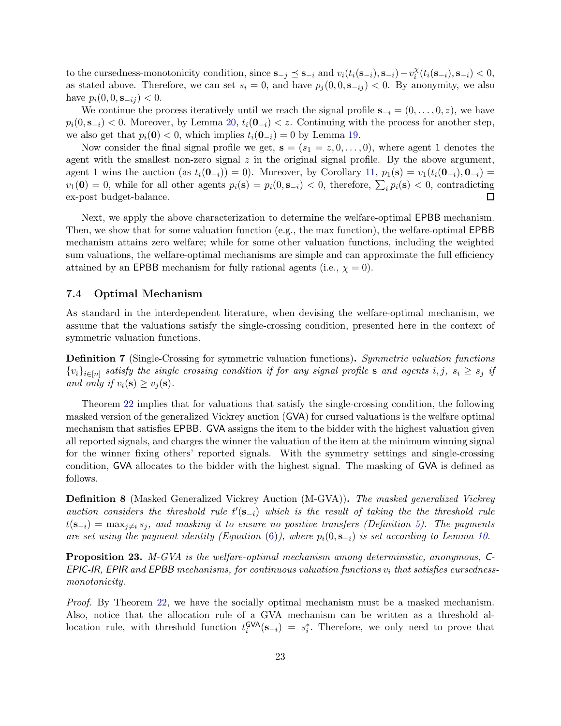to the cursedness-monotonicity condition, since  $\mathbf{s}_{-j} \preceq \mathbf{s}_{-i}$  and  $v_i(t_i(\mathbf{s}_{-i}), \mathbf{s}_{-i}) - v_i^{\chi}$  $\chi_i^{\chi}(t_i(\mathbf{s}_{-i}), \mathbf{s}_{-i}) < 0,$ as stated above. Therefore, we can set  $s_i = 0$ , and have  $p_i(0, 0, s_{-ij}) < 0$ . By anonymity, we also have  $p_i(0, 0, \mathbf{s}_{-ij}) < 0$ .

We continue the process iteratively until we reach the signal profile  $s_{-i} = (0, \ldots, 0, z)$ , we have  $p_i(0, s_{-i}) < 0$ . Moreover, by Lemma [20,](#page-20-2)  $t_i(0_{-i}) < z$ . Continuing with the process for another step, we also get that  $p_i(0) < 0$ , which implies  $t_i(0_{-i}) = 0$  by Lemma [19.](#page-20-3)

Now consider the final signal profile we get,  $s = (s_1 = z, 0, \ldots, 0)$ , where agent 1 denotes the agent with the smallest non-zero signal  $z$  in the original signal profile. By the above argument, agent 1 wins the auction (as  $t_i(\mathbf{0}_{-i}) = 0$ ). Moreover, by Corollary [11,](#page-14-1)  $p_1(\mathbf{s}) = v_1(t_i(\mathbf{0}_{-i}), \mathbf{0}_{-i}) =$  $v_1(\mathbf{0}) = 0$ , while for all other agents  $p_i(\mathbf{s}) = p_i(0, \mathbf{s}_{-i}) < 0$ , therefore,  $\sum_i p_i(\mathbf{s}) < 0$ , contradicting ex-post budget-balance.  $\Box$ 

Next, we apply the above characterization to determine the welfare-optimal EPBB mechanism. Then, we show that for some valuation function (e.g., the max function), the welfare-optimal EPBB mechanism attains zero welfare; while for some other valuation functions, including the weighted sum valuations, the welfare-optimal mechanisms are simple and can approximate the full efficiency attained by an EPBB mechanism for fully rational agents (i.e.,  $\chi = 0$ ).

#### 7.4 Optimal Mechanism

As standard in the interdependent literature, when devising the welfare-optimal mechanism, we assume that the valuations satisfy the single-crossing condition, presented here in the context of symmetric valuation functions.

Definition 7 (Single-Crossing for symmetric valuation functions). *Symmetric valuation functions*  ${v_i}_{i \in [n]}$  satisfy the single crossing condition if for any signal profile **s** and agents  $i, j, s_i \geq s_j$  if *and only if*  $v_i(\mathbf{s}) \ge v_i(\mathbf{s})$ .

Theorem [22](#page-21-0) implies that for valuations that satisfy the single-crossing condition, the following masked version of the generalized Vickrey auction (GVA) for cursed valuations is the welfare optimal mechanism that satisfies EPBB. GVA assigns the item to the bidder with the highest valuation given all reported signals, and charges the winner the valuation of the item at the minimum winning signal for the winner fixing others' reported signals. With the symmetry settings and single-crossing condition, GVA allocates to the bidder with the highest signal. The masking of GVA is defined as follows.

Definition 8 (Masked Generalized Vickrey Auction (M-GVA)). *The masked generalized Vickrey auction considers the threshold rule*  $t'(\mathbf{s}_{-i})$  *which is the result of taking the the threshold rule*  $t(s_{-i}) = \max_{j \neq i} s_j$ , and masking it to ensure no positive transfers (Definition [5\)](#page-19-1). The payments *are set using the payment identity (Equation* [\(6\)](#page-11-1)), where  $p_i(0, s_{-i})$  *is set according to Lemma [10.](#page-14-0)* 

<span id="page-22-0"></span>Proposition 23. *M-GVA is the welfare-optimal mechanism among deterministic, anonymous,* C-EPIC-IR*,* EPIR *and* EPBB *mechanisms, for continuous valuation functions* v<sup>i</sup> *that satisfies cursednessmonotonicity.*

*Proof.* By Theorem [22,](#page-21-0) we have the socially optimal mechanism must be a masked mechanism. Also, notice that the allocation rule of a GVA mechanism can be written as a threshold allocation rule, with threshold function  $t_i^{\text{GVA}}$  $\int_{i}^{GVA}$  $(\mathbf{s}_{-i}) = s_i^*$ . Therefore, we only need to prove that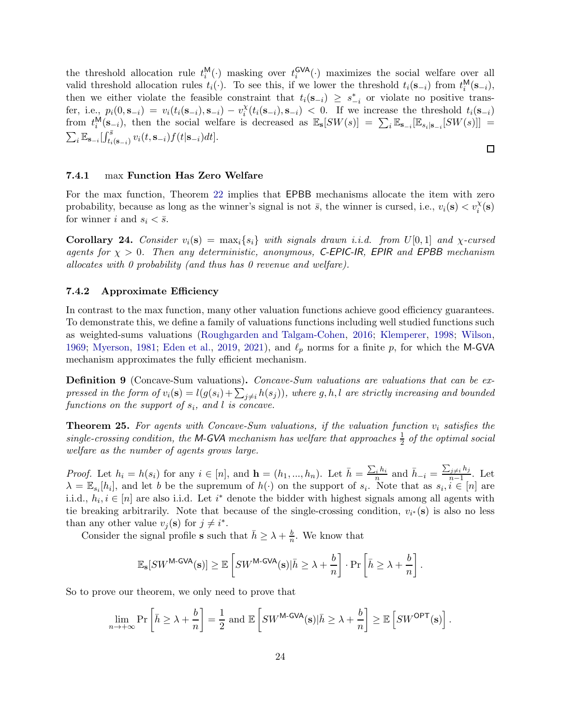the threshold allocation rule  $t_i^{\mathsf{M}}$  $\binom{M}{i}$  masking over  $t_i^{\text{GVA}}$  $\mathcal{L}^{\text{GVA}}_{i}(\cdot)$  maximizes the social welfare over all valid threshold allocation rules  $t_i(\cdot)$ . To see this, if we lower the threshold  $t_i(s_{-i})$  from  $t_i^{\mathsf{M}}$  $i^{\mathsf{M}}(\mathbf{s}_{-i}),$ then we either violate the feasible constraint that  $t_i(\mathbf{s}_{-i}) \geq s_{-i}^*$  or violate no positive transfer, i.e.,  $p_i(0, \mathbf{s}_{-i}) = v_i(t_i(\mathbf{s}_{-i}), \mathbf{s}_{-i}) - v_i^{\chi}$  $\lambda_i^{\chi}(t_i(\mathbf{s}_{-i}), \mathbf{s}_{-i})$  < 0. If we increase the threshold  $t_i(\mathbf{s}_{-i})$ from  $t_i^{\mathsf{M}}$  $\binom{M}{i}$ ( $\mathbf{s}_{-i}$ ), then the social welfare is decreased as  $\mathbb{E}_{\mathbf{s}}[SW(s)] = \sum_i \mathbb{E}_{\mathbf{s}_{-i}}[\mathbb{E}_{s_i|\mathbf{s}_{-i}}[SW(s)]] =$  $\sum_i \mathbb{E}_{\mathbf{s}_{-i}}[\int_{t_i(\mathbf{s}_{-i})}^{\bar{s}} v_i(t,\mathbf{s}_{-i})f(t|\mathbf{s}_{-i})dt].$ 

#### <span id="page-23-1"></span>7.4.1 max Function Has Zero Welfare

For the max function, Theorem [22](#page-21-0) implies that EPBB mechanisms allocate the item with zero probability, because as long as the winner's signal is not  $\bar{s}$ , the winner is cursed, i.e.,  $v_i(\mathbf{s}) < v_i^{\chi}(\mathbf{s})$ for winner i and  $s_i < \bar{s}$ .

<span id="page-23-3"></span>**Corollary 24.** *Consider*  $v_i(\mathbf{s}) = \max_i \{s_i\}$  *with signals drawn i.i.d. from*  $U[0,1]$  *and*  $\chi$ -cursed *agents for* χ > 0*. Then any deterministic, anonymous,* C-EPIC-IR*,* EPIR *and* EPBB *mechanism allocates with 0 probability (and thus has 0 revenue and welfare).*

#### <span id="page-23-2"></span>7.4.2 Approximate Efficiency

In contrast to the max function, many other valuation functions achieve good efficiency guarantees. To demonstrate this, we define a family of valuations functions including well studied functions such as weighted-sums valuations [\(Roughgarden and Talgam-Cohen,](#page-29-3) [2016](#page-29-3); [Klemperer](#page-28-0), [1998](#page-28-0); [Wilson](#page-29-1), [1969;](#page-29-1) [Myerson](#page-29-9), [1981](#page-29-9); [Eden et al.](#page-27-9), [2019](#page-27-9), [2021](#page-27-10)), and  $\ell_p$  norms for a finite p, for which the M-GVA mechanism approximates the fully efficient mechanism.

Definition 9 (Concave-Sum valuations). *Concave-Sum valuations are valuations that can be expressed in the form of*  $v_i(\mathbf{s}) = l(g(s_i) + \sum_{j \neq i} h(s_j))$ , where g, h, l are strictly increasing and bounded  $functions on the support of  $s_i$ , and  $l$  is concave.$ 

<span id="page-23-0"></span>**Theorem 25.** For agents with Concave-Sum valuations, if the valuation function  $v_i$  satisfies the  $single-crossing condition, the M-GVA mechanism has welfare that approaches  $\frac{1}{2}$  of the optimal social$ *welfare as the number of agents grows large.*

*Proof.* Let  $h_i = h(s_i)$  for any  $i \in [n]$ , and  $\mathbf{h} = (h_1, ..., h_n)$ . Let  $\bar{h} = \frac{\sum_i h_i}{n}$  $\bar{h}_n$  and  $\bar{h}_{-i} = \frac{\sum_{j\neq i} h_j}{n-1}$  $\frac{n-1}{n-1}$ . Let  $\lambda = \mathbb{E}_{s_i}[h_i]$ , and let b be the supremum of  $h(\cdot)$  on the support of  $s_i$ . Note that as  $s_i, i \in [n]$  are i.i.d.,  $h_i, i \in [n]$  are also i.i.d. Let  $i^*$  denote the bidder with highest signals among all agents with tie breaking arbitrarily. Note that because of the single-crossing condition,  $v_{i^*}(\mathbf{s})$  is also no less than any other value  $v_j(\mathbf{s})$  for  $j \neq i^*$ .

Consider the signal profile **s** such that  $\bar{h} \geq \lambda + \frac{b}{n}$  $\frac{b}{n}$ . We know that

$$
\mathbb{E}_{\mathbf{s}}[SW^{\mathsf{M-GVA}}(\mathbf{s})] \geq \mathbb{E}\left[SW^{\mathsf{M-GVA}}(\mathbf{s}) | \bar{h} \geq \lambda + \frac{b}{n}\right] \cdot \Pr\left[\bar{h} \geq \lambda + \frac{b}{n}\right].
$$

So to prove our theorem, we only need to prove that

$$
\lim_{n \to +\infty} \Pr\left[\bar{h} \ge \lambda + \frac{b}{n}\right] = \frac{1}{2} \text{ and } \mathbb{E}\left[SW^{\mathsf{M-GVA}}(\mathbf{s}) | \bar{h} \ge \lambda + \frac{b}{n}\right] \ge \mathbb{E}\left[SW^{\mathsf{OPT}}(\mathbf{s})\right].
$$

 $\Box$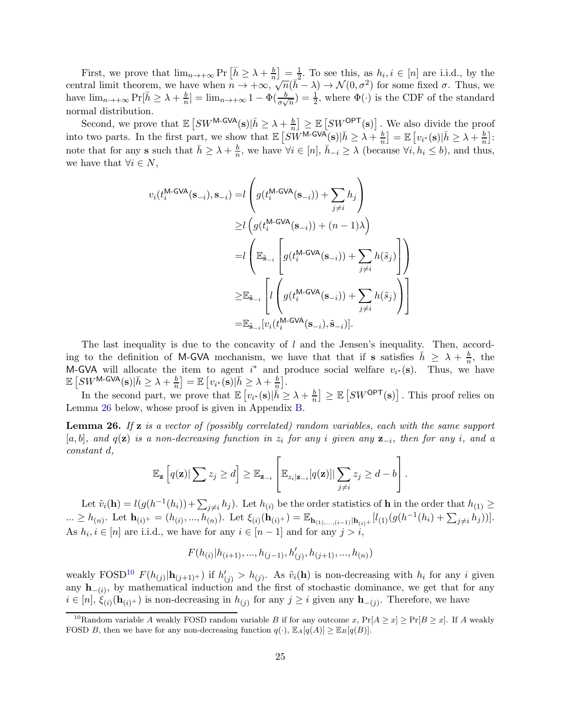First, we prove that  $\lim_{n\to+\infty}$  Pr  $\left[\bar{h}\geq \lambda+\frac{b}{n}\right]=\frac{1}{2}$ . To see this, as  $h_i, i\in[n]$  are i.i.d., by the central limit theorem, we have when  $n \to +\infty$ ,  $\sqrt{n}(\bar{h} - \lambda) \to \mathcal{N}(0, \sigma^2)$  for some fixed  $\sigma$ . Thus, we have  $\lim_{n\to+\infty} \Pr[\bar{h} \geq \lambda + \frac{b}{n}]$  $\frac{b}{n}$ ] =  $\lim_{n\to+\infty} 1 - \Phi(\frac{b}{\sigma\sqrt{n}}) = \frac{1}{2}$ , where  $\Phi(\cdot)$  is the CDF of the standard normal distribution.

Second, we prove that  $\mathbb{E} \left[ SW^{\text{M-GVA}}(\mathbf{s}) | \bar{h} \geq \lambda + \frac{b}{n} \right]$  $\frac{b}{n}$   $\geq \mathbb{E}\left[SW^{\mathsf{OPT}}(\mathbf{s})\right]$ . We also divide the proof into two parts. In the first part, we show that  $\mathbb{E} \left[ S\tilde{W}^{\text{M-GVA}}(\mathbf{s}) | \bar{h} \geq \lambda + \frac{b}{n} \right]$  $\left\lfloor\frac{b}{n}\right\rfloor = \mathbb{E} \left[ v_{i^*}(\mathbf{s}) \vert \bar{h} \geq \lambda + \frac{b}{n} \right]$  $\frac{b}{n}$ : note that for any **s** such that  $\bar{h} \geq \lambda + \frac{b}{n}$  $\frac{b}{n}$ , we have  $\forall i \in [n], \bar{h}_{-i} \geq \lambda$  (because  $\forall i, h_i \leq b$ ), and thus, we have that  $\forall i \in N$ ,

$$
v_i(t_i^{\text{M-GVA}}(\mathbf{s}_{-i}), \mathbf{s}_{-i}) = l \left( g(t_i^{\text{M-GVA}}(\mathbf{s}_{-i})) + \sum_{j \neq i} h_j \right)
$$
  
\n
$$
\geq l \left( g(t_i^{\text{M-GVA}}(\mathbf{s}_{-i})) + (n-1)\lambda \right)
$$
  
\n
$$
= l \left( \mathbb{E}_{\tilde{\mathbf{s}}_{-i}} \left[ g(t_i^{\text{M-GVA}}(\mathbf{s}_{-i})) + \sum_{j \neq i} h(\tilde{s}_j) \right] \right)
$$
  
\n
$$
\geq \mathbb{E}_{\tilde{\mathbf{s}}_{-i}} \left[ l \left( g(t_i^{\text{M-GVA}}(\mathbf{s}_{-i})) + \sum_{j \neq i} h(\tilde{s}_j) \right) \right]
$$
  
\n
$$
= \mathbb{E}_{\tilde{\mathbf{s}}_{-i}} [v_i(t_i^{\text{M-GVA}}(\mathbf{s}_{-i}), \tilde{\mathbf{s}}_{-i})].
$$

The last inequality is due to the concavity of  $l$  and the Jensen's inequality. Then, according to the definition of M-GVA mechanism, we have that that if s satisfies  $\bar{h} \geq \lambda + \frac{b}{n}$  $\frac{b}{n}$ , the M-GVA will allocate the item to agent  $i^*$  and produce social welfare  $v_{i^*}(s)$ . Thus, we have  $\mathbb{E}\left[ S W^{\textsf{M-GVA}}(\mathbf{s})|\bar{h}\geq \lambda+\frac{b}{n}\right]$  $\left\lfloor\frac{b}{n}\right\rfloor=\mathbb{E}\left[v_{i^*}(\mathbf{s})\vert \bar{h}\geq \lambda+\frac{b}{n}\right]$  $\frac{b}{n}$ .

In the second part, we prove that  $\mathbb{E}\left[v_{i^*}(\mathbf{s})\right]\tilde{h} \geq \lambda + \frac{b}{n}$  $\left\lfloor \frac{b}{n} \right\rfloor \geq \mathbb{E} \left[ SW^{\mathsf{OPT}}(\mathbf{s}) \right].$  This proof relies on Lemma [26](#page-24-0) below, whose proof is given in Appendix [B.](#page-29-8)

<span id="page-24-0"></span>Lemma 26. *If* z *is a vector of (possibly correlated) random variables, each with the same support* [a, b]*, and* q(z) *is a non-decreasing function in* z<sup>i</sup> *for any* i *given any* z−<sup>i</sup> *, then for any* i*, and a constant* d*,*

$$
\mathbb{E}_{\mathbf{z}}\left[q(\mathbf{z})|\sum z_j\geq d\right]\geq \mathbb{E}_{\mathbf{z}_{-i}}\left[\mathbb{E}_{z_i|\mathbf{z}_{-i}}[q(\mathbf{z})]|\sum_{j\neq i}z_j\geq d-b\right].
$$

Let  $\tilde{v}_i(\mathbf{h}) = l(g(h^{-1}(h_i)) + \sum_{j \neq i} h_j)$ . Let  $h_{(i)}$  be the order statistics of **h** in the order that  $h_{(1)} \ge$  $\ldots \geq h_{(n)}$ . Let  $\mathbf{h}_{(i)^+} = (h_{(i)}, ..., h_{(n)}')$ . Let  $\xi_{(i)}(\mathbf{h}_{(i)^+}) = \mathbb{E}_{\mathbf{h}_{(1)}, ..., (i-1)}|\mathbf{h}_{(i)^+}| [l_{(1)}(g(h^{-1}(h_i) + \sum_{j\neq i} h_j))]$ . As  $h_i, i \in [n]$  are i.i.d., we have for any  $i \in [n-1]$  and for any  $j > i$ ,

$$
F(h_{(i)}|h_{(i+1)},...,h_{(j-1)},h'_{(j)},h_{(j+1)},...,h_{(n)})
$$

weakly FOSD<sup>[10](#page-24-1)</sup>  $F(h_{(j)} | h_{(j+1)^+})$  if  $h'_{(j)} > h_{(j)}$ . As  $\tilde{v}_i(\mathbf{h})$  is non-decreasing with  $h_i$  for any i given any  $\mathbf{h}_{-(i)}$ , by mathematical induction and the first of stochastic dominance, we get that for any  $i \in [n], \xi_{(i)}(\mathbf{h}_{(i)^+})$  is non-decreasing in  $h_{(j)}$  for any  $j \geq i$  given any  $\mathbf{h}_{-(j)}$ . Therefore, we have

<span id="page-24-1"></span><sup>&</sup>lt;sup>10</sup>Random variable A weakly FOSD random variable B if for any outcome x,  $Pr[A \ge x] \ge Pr[B \ge x]$ . If A weakly FOSD B, then we have for any non-decreasing function  $q(\cdot)$ ,  $\mathbb{E}_{A}[q(A)] \geq \mathbb{E}_{B}[q(B)]$ .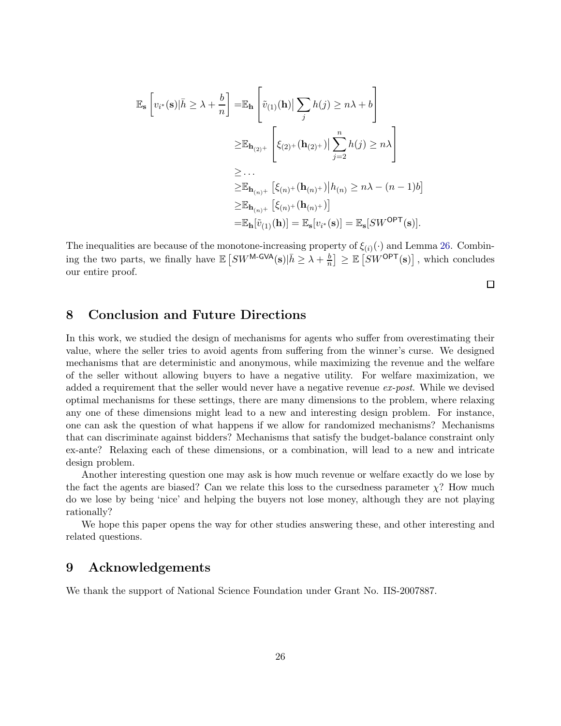$$
\mathbb{E}_{\mathbf{s}}\left[v_{i^*}(\mathbf{s})|\bar{h} \geq \lambda + \frac{b}{n}\right] = \mathbb{E}_{\mathbf{h}}\left[\tilde{v}_{(1)}(\mathbf{h})|\sum_{j} h(j) \geq n\lambda + b\right]
$$
  
\n
$$
\geq \mathbb{E}_{\mathbf{h}_{(2)^+}}\left[\xi_{(2)^+}(\mathbf{h}_{(2)^+})|\sum_{j=2}^n h(j) \geq n\lambda\right]
$$
  
\n
$$
\geq \dots
$$
  
\n
$$
\geq \mathbb{E}_{\mathbf{h}_{(n)^+}}\left[\xi_{(n)^+}(\mathbf{h}_{(n)^+})\Big| h_{(n)} \geq n\lambda - (n-1)b\right]
$$
  
\n
$$
\geq \mathbb{E}_{\mathbf{h}_{(n)^+}}\left[\xi_{(n)^+}(\mathbf{h}_{(n)^+})\right]
$$
  
\n
$$
= \mathbb{E}_{\mathbf{h}}[\tilde{v}_{(1)}(\mathbf{h})] = \mathbb{E}_{\mathbf{s}}[v_{i^*}(\mathbf{s})] = \mathbb{E}_{\mathbf{s}}[SW^{\mathsf{OPT}}(\mathbf{s})].
$$

The inequalities are because of the monotone-increasing property of  $\xi_{(i)}(\cdot)$  and Lemma [26.](#page-24-0) Combining the two parts, we finally have  $\mathbb{E}\left[SW^{\mathsf{M-GVA}}(\mathbf{s})\big|\bar{h}\geq \lambda+\frac{b}{n}\right] \geq \mathbb{E}\left[SW^{\mathsf{OPT}}(\mathbf{s})\right]$ , which concludes our entire proof.

 $\Box$ 

## 8 Conclusion and Future Directions

In this work, we studied the design of mechanisms for agents who suffer from overestimating their value, where the seller tries to avoid agents from suffering from the winner's curse. We designed mechanisms that are deterministic and anonymous, while maximizing the revenue and the welfare of the seller without allowing buyers to have a negative utility. For welfare maximization, we added a requirement that the seller would never have a negative revenue *ex-post*. While we devised optimal mechanisms for these settings, there are many dimensions to the problem, where relaxing any one of these dimensions might lead to a new and interesting design problem. For instance, one can ask the question of what happens if we allow for randomized mechanisms? Mechanisms that can discriminate against bidders? Mechanisms that satisfy the budget-balance constraint only ex-ante? Relaxing each of these dimensions, or a combination, will lead to a new and intricate design problem.

Another interesting question one may ask is how much revenue or welfare exactly do we lose by the fact the agents are biased? Can we relate this loss to the cursedness parameter  $\chi$ ? How much do we lose by being 'nice' and helping the buyers not lose money, although they are not playing rationally?

We hope this paper opens the way for other studies answering these, and other interesting and related questions.

## 9 Acknowledgements

We thank the support of National Science Foundation under Grant No. IIS-2007887.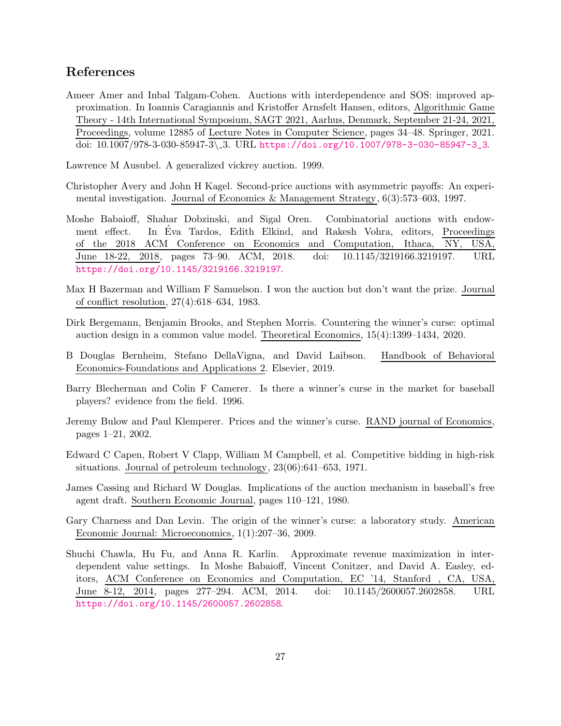## References

<span id="page-26-12"></span>Ameer Amer and Inbal Talgam-Cohen. Auctions with interdependence and SOS: improved approximation. In Ioannis Caragiannis and Kristoffer Arnsfelt Hansen, editors, Algorithmic Game Theory - 14th International Symposium, SAGT 2021, Aarhus, Denmark, September 21-24, 2021, Proceedings, volume 12885 of Lecture Notes in Computer Science, pages 34–48. Springer, 2021. doi: 10.1007/978-3-030-85947-3\ 3. URL [https://doi.org/10.1007/978-3-030-85947-3\\_3](https://doi.org/10.1007/978-3-030-85947-3_3).

<span id="page-26-5"></span>Lawrence M Ausubel. A generalized vickrey auction. 1999.

- <span id="page-26-0"></span>Christopher Avery and John H Kagel. Second-price auctions with asymmetric payoffs: An experimental investigation. Journal of Economics & Management Strategy, 6(3):573–603, 1997.
- <span id="page-26-10"></span>Moshe Babaioff, Shahar Dobzinski, and Sigal Oren. Combinatorial auctions with endowment effect. In Eva Tardos, Edith Elkind, and Rakesh Vohra, editors, Proceedings of the 2018 ACM Conference on Economics and Computation, Ithaca, NY, USA, June 18-22, 2018, pages 73–90. ACM, 2018. doi: 10.1145/3219166.3219197. URL <https://doi.org/10.1145/3219166.3219197>.
- <span id="page-26-6"></span>Max H Bazerman and William F Samuelson. I won the auction but don't want the prize. Journal of conflict resolution, 27(4):618–634, 1983.
- <span id="page-26-4"></span>Dirk Bergemann, Benjamin Brooks, and Stephen Morris. Countering the winner's curse: optimal auction design in a common value model. Theoretical Economics, 15(4):1399–1434, 2020.
- <span id="page-26-8"></span>B Douglas Bernheim, Stefano DellaVigna, and David Laibson. Handbook of Behavioral Economics-Foundations and Applications 2. Elsevier, 2019.
- <span id="page-26-3"></span>Barry Blecherman and Colin F Camerer. Is there a winner's curse in the market for baseball players? evidence from the field. 1996.
- <span id="page-26-9"></span>Jeremy Bulow and Paul Klemperer. Prices and the winner's curse. RAND journal of Economics, pages 1–21, 2002.
- <span id="page-26-1"></span>Edward C Capen, Robert V Clapp, William M Campbell, et al. Competitive bidding in high-risk situations. Journal of petroleum technology, 23(06):641–653, 1971.
- <span id="page-26-2"></span>James Cassing and Richard W Douglas. Implications of the auction mechanism in baseball's free agent draft. Southern Economic Journal, pages 110–121, 1980.
- <span id="page-26-7"></span>Gary Charness and Dan Levin. The origin of the winner's curse: a laboratory study. American Economic Journal: Microeconomics, 1(1):207–36, 2009.
- <span id="page-26-11"></span>Shuchi Chawla, Hu Fu, and Anna R. Karlin. Approximate revenue maximization in interdependent value settings. In Moshe Babaioff, Vincent Conitzer, and David A. Easley, editors, ACM Conference on Economics and Computation, EC '14, Stanford , CA, USA, June 8-12, 2014, pages 277–294. ACM, 2014. doi: 10.1145/2600057.2602858. URL <https://doi.org/10.1145/2600057.2602858>.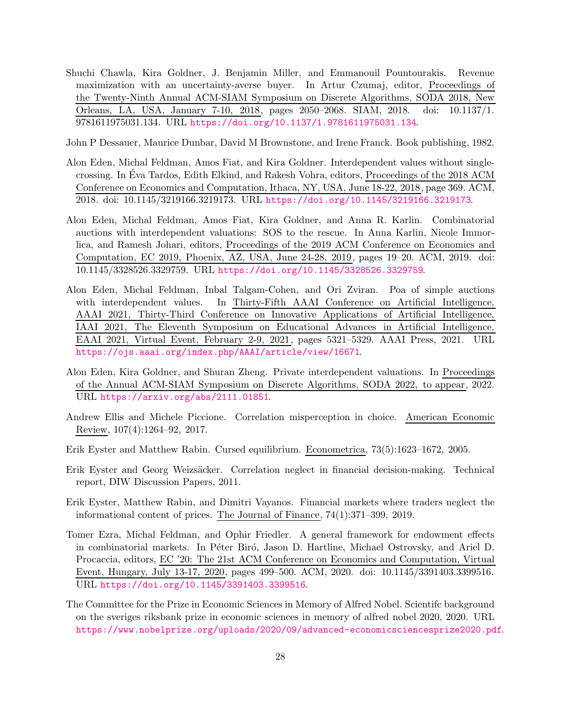<span id="page-27-7"></span>Shuchi Chawla, Kira Goldner, J. Benjamin Miller, and Emmanouil Pountourakis. Revenue maximization with an uncertainty-averse buyer. In Artur Czumaj, editor, Proceedings of the Twenty-Ninth Annual ACM-SIAM Symposium on Discrete Algorithms, SODA 2018, New Orleans, LA, USA, January 7-10, 2018, pages 2050–2068. SIAM, 2018. doi: 10.1137/1. 9781611975031.134. URL <https://doi.org/10.1137/1.9781611975031.134>.

<span id="page-27-0"></span>John P Dessauer, Maurice Dunbar, David M Brownstone, and Irene Franck. Book publishing, 1982.

- <span id="page-27-8"></span>Alon Eden, Michal Feldman, Amos Fiat, and Kira Goldner. Interdependent values without singlecrossing. In Eva Tardos, Edith Elkind, and Rakesh Vohra, editors, Proceedings of the 2018 ACM Conference on Economics and Computation, Ithaca, NY, USA, June 18-22, 2018, page 369. ACM, 2018. doi: 10.1145/3219166.3219173. URL <https://doi.org/10.1145/3219166.3219173>.
- <span id="page-27-9"></span>Alon Eden, Michal Feldman, Amos Fiat, Kira Goldner, and Anna R. Karlin. Combinatorial auctions with interdependent valuations: SOS to the rescue. In Anna Karlin, Nicole Immorlica, and Ramesh Johari, editors, Proceedings of the 2019 ACM Conference on Economics and Computation, EC 2019, Phoenix, AZ, USA, June 24-28, 2019, pages 19–20. ACM, 2019. doi: 10.1145/3328526.3329759. URL <https://doi.org/10.1145/3328526.3329759>.
- <span id="page-27-10"></span>Alon Eden, Michal Feldman, Inbal Talgam-Cohen, and Ori Zviran. Poa of simple auctions with interdependent values. In Thirty-Fifth AAAI Conference on Artificial Intelligence, AAAI 2021, Thirty-Third Conference on Innovative Applications of Artificial Intelligence, IAAI 2021, The Eleventh Symposium on Educational Advances in Artificial Intelligence, EAAI 2021, Virtual Event, February 2-9, 2021, pages 5321–5329. AAAI Press, 2021. URL <https://ojs.aaai.org/index.php/AAAI/article/view/16671>.
- <span id="page-27-11"></span>Alon Eden, Kira Goldner, and Shuran Zheng. Private interdependent valuations. In Proceedings of the Annual ACM-SIAM Symposium on Discrete Algorithms, SODA 2022, to appear, 2022. URL <https://arxiv.org/abs/2111.01851>.
- <span id="page-27-5"></span>Andrew Ellis and Michele Piccione. Correlation misperception in choice. American Economic Review, 107(4):1264–92, 2017.
- <span id="page-27-1"></span>Erik Eyster and Matthew Rabin. Cursed equilibrium. Econometrica, 73(5):1623–1672, 2005.
- <span id="page-27-4"></span>Erik Eyster and Georg Weizsäcker. Correlation neglect in financial decision-making. Technical report, DIW Discussion Papers, 2011.
- <span id="page-27-3"></span>Erik Eyster, Matthew Rabin, and Dimitri Vayanos. Financial markets where traders neglect the informational content of prices. The Journal of Finance, 74(1):371–399, 2019.
- <span id="page-27-6"></span>Tomer Ezra, Michal Feldman, and Ophir Friedler. A general framework for endowment effects in combinatorial markets. In Péter Biró, Jason D. Hartline, Michael Ostrovsky, and Ariel D. Procaccia, editors, EC '20: The 21st ACM Conference on Economics and Computation, Virtual Event, Hungary, July 13-17, 2020, pages 499–500. ACM, 2020. doi: 10.1145/3391403.3399516. URL <https://doi.org/10.1145/3391403.3399516>.
- <span id="page-27-2"></span>The Committee for the Prize in Economic Sciences in Memory of Alfred Nobel. Scientifc background on the sveriges riksbank prize in economic sciences in memory of alfred nobel 2020, 2020. URL <https://www.nobelprize.org/uploads/2020/09/advanced-economicsciencesprize2020.pdf>.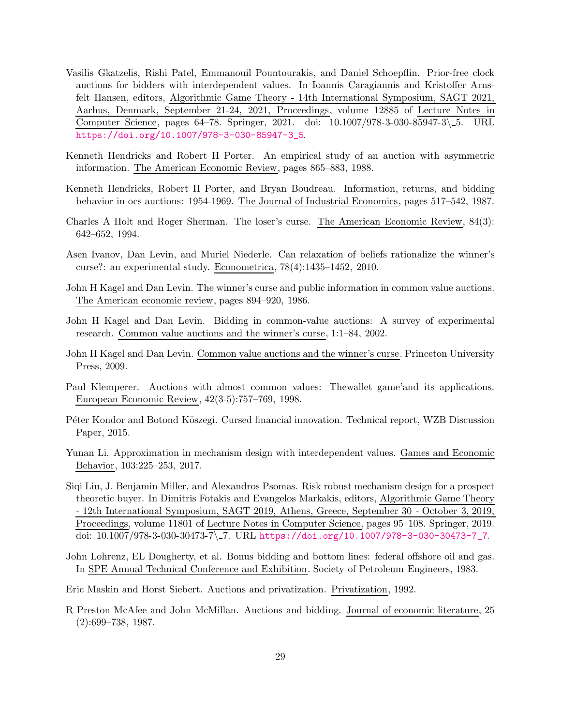- <span id="page-28-14"></span>Vasilis Gkatzelis, Rishi Patel, Emmanouil Pountourakis, and Daniel Schoepflin. Prior-free clock auctions for bidders with interdependent values. In Ioannis Caragiannis and Kristoffer Arnsfelt Hansen, editors, Algorithmic Game Theory - 14th International Symposium, SAGT 2021, Aarhus, Denmark, September 21-24, 2021, Proceedings, volume 12885 of Lecture Notes in Computer Science, pages 64–78. Springer, 2021. doi: 10.1007/978-3-030-85947-3\ 5. URL [https://doi.org/10.1007/978-3-030-85947-3\\_5](https://doi.org/10.1007/978-3-030-85947-3_5).
- <span id="page-28-5"></span>Kenneth Hendricks and Robert H Porter. An empirical study of an auction with asymmetric information. The American Economic Review, pages 865–883, 1988.
- <span id="page-28-8"></span>Kenneth Hendricks, Robert H Porter, and Bryan Boudreau. Information, returns, and bidding behavior in ocs auctions: 1954-1969. The Journal of Industrial Economics, pages 517–542, 1987.
- <span id="page-28-4"></span>Charles A Holt and Roger Sherman. The loser's curse. The American Economic Review, 84(3): 642–652, 1994.
- <span id="page-28-9"></span>Asen Ivanov, Dan Levin, and Muriel Niederle. Can relaxation of beliefs rationalize the winner's curse?: an experimental study. Econometrica, 78(4):1435–1452, 2010.
- <span id="page-28-3"></span>John H Kagel and Dan Levin. The winner's curse and public information in common value auctions. The American economic review, pages 894–920, 1986.
- <span id="page-28-10"></span>John H Kagel and Dan Levin. Bidding in common-value auctions: A survey of experimental research. Common value auctions and the winner's curse, 1:1–84, 2002.
- <span id="page-28-2"></span>John H Kagel and Dan Levin. Common value auctions and the winner's curse. Princeton University Press, 2009.
- <span id="page-28-0"></span>Paul Klemperer. Auctions with almost common values: Thewallet game'and its applications. European Economic Review, 42(3-5):757–769, 1998.
- <span id="page-28-11"></span>Péter Kondor and Botond Köszegi. Cursed financial innovation. Technical report, WZB Discussion Paper, 2015.
- <span id="page-28-13"></span>Yunan Li. Approximation in mechanism design with interdependent values. Games and Economic Behavior, 103:225–253, 2017.
- <span id="page-28-12"></span>Siqi Liu, J. Benjamin Miller, and Alexandros Psomas. Risk robust mechanism design for a prospect theoretic buyer. In Dimitris Fotakis and Evangelos Markakis, editors, Algorithmic Game Theory - 12th International Symposium, SAGT 2019, Athens, Greece, September 30 - October 3, 2019, Proceedings, volume 11801 of Lecture Notes in Computer Science, pages 95–108. Springer, 2019. doi: 10.1007/978-3-030-30473-7\ 7. URL [https://doi.org/10.1007/978-3-030-30473-7\\_7](https://doi.org/10.1007/978-3-030-30473-7_7).
- <span id="page-28-1"></span>John Lohrenz, EL Dougherty, et al. Bonus bidding and bottom lines: federal offshore oil and gas. In SPE Annual Technical Conference and Exhibition. Society of Petroleum Engineers, 1983.

<span id="page-28-6"></span>Eric Maskin and Horst Siebert. Auctions and privatization. Privatization, 1992.

<span id="page-28-7"></span>R Preston McAfee and John McMillan. Auctions and bidding. Journal of economic literature, 25 (2):699–738, 1987.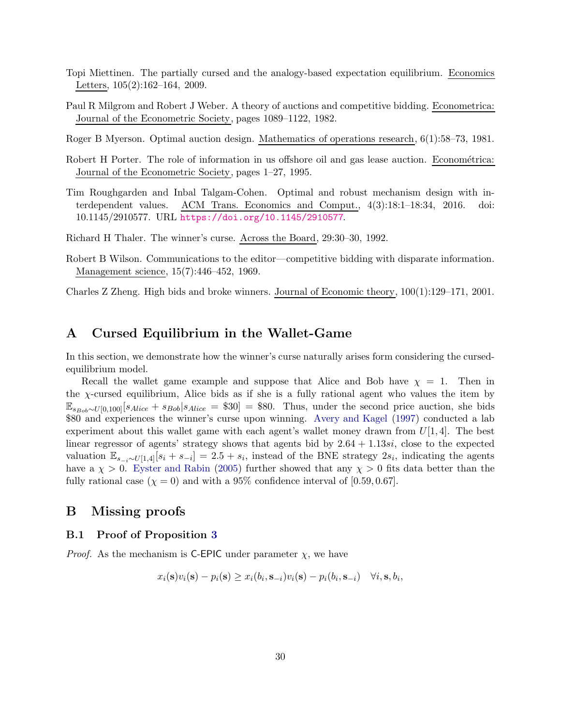- <span id="page-29-6"></span>Topi Miettinen. The partially cursed and the analogy-based expectation equilibrium. Economics Letters, 105(2):162–164, 2009.
- <span id="page-29-0"></span>Paul R Milgrom and Robert J Weber. A theory of auctions and competitive bidding. Econometrica: Journal of the Econometric Society, pages 1089–1122, 1982.
- <span id="page-29-9"></span>Roger B Myerson. Optimal auction design. Mathematics of operations research, 6(1):58–73, 1981.
- <span id="page-29-5"></span>Robert H Porter. The role of information in us offshore oil and gas lease auction. Econométrica: Journal of the Econometric Society, pages 1–27, 1995.
- <span id="page-29-3"></span>Tim Roughgarden and Inbal Talgam-Cohen. Optimal and robust mechanism design with interdependent values. ACM Trans. Economics and Comput.,  $4(3):18:1-18:34$ ,  $2016$ . 10.1145/2910577. URL <https://doi.org/10.1145/2910577>.
- <span id="page-29-4"></span>Richard H Thaler. The winner's curse. Across the Board, 29:30–30, 1992.
- <span id="page-29-1"></span>Robert B Wilson. Communications to the editor—competitive bidding with disparate information. Management science, 15(7):446–452, 1969.

<span id="page-29-2"></span>Charles Z Zheng. High bids and broke winners. Journal of Economic theory, 100(1):129–171, 2001.

## <span id="page-29-7"></span>A Cursed Equilibrium in the Wallet-Game

In this section, we demonstrate how the winner's curse naturally arises form considering the cursedequilibrium model.

Recall the wallet game example and suppose that Alice and Bob have  $\chi = 1$ . Then in the  $\chi$ -cursed equilibrium, Alice bids as if she is a fully rational agent who values the item by  $\mathbb{E}_{s_{Bob} \sim U[0,100]}[s_{Alice} + s_{Bob}|s_{Alice} = $30] = $80$ . Thus, under the second price auction, she bids \$80 and experiences the winner's curse upon winning. [Avery and Kagel](#page-26-0) [\(1997](#page-26-0)) conducted a lab experiment about this wallet game with each agent's wallet money drawn from  $U[1, 4]$ . The best linear regressor of agents' strategy shows that agents bid by  $2.64 + 1.13\dot{s}i$ , close to the expected valuation  $\mathbb{E}_{s_{-i} \sim U[1,4]}[s_i + s_{-i}] = 2.5 + s_i$ , instead of the BNE strategy  $2s_i$ , indicating the agents have a  $\chi > 0$ . [Eyster and Rabin](#page-27-1) [\(2005\)](#page-27-1) further showed that any  $\chi > 0$  fits data better than the fully rational case  $(\chi = 0)$  and with a 95% confidence interval of [0.59, 0.67].

## <span id="page-29-8"></span>B Missing proofs

#### B.1 Proof of Proposition [3](#page-10-0)

*Proof.* As the mechanism is **C-EPIC** under parameter  $\chi$ , we have

$$
x_i(\mathbf{s})v_i(\mathbf{s}) - p_i(\mathbf{s}) \ge x_i(b_i, \mathbf{s}_{-i})v_i(\mathbf{s}) - p_i(b_i, \mathbf{s}_{-i}) \quad \forall i, \mathbf{s}, b_i,
$$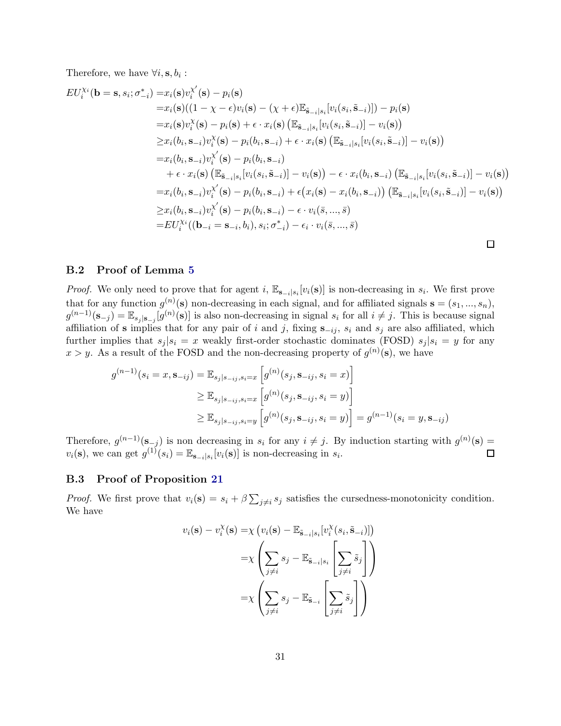Therefore, we have  $\forall i, \mathbf{s}, b_i$ :

$$
EU_i^{Xi}(\mathbf{b} = \mathbf{s}, s_i; \sigma_{-i}^*) = x_i(\mathbf{s})v_i^{X'}(\mathbf{s}) - p_i(\mathbf{s})
$$
  
\n
$$
= x_i(\mathbf{s})((1 - \chi - \epsilon)v_i(\mathbf{s}) - (\chi + \epsilon)\mathbb{E}_{\tilde{\mathbf{s}}_{-i}|s_i}[v_i(s_i, \tilde{\mathbf{s}}_{-i})]) - p_i(\mathbf{s})
$$
  
\n
$$
= x_i(\mathbf{s})v_i^{X}(\mathbf{s}) - p_i(\mathbf{s}) + \epsilon \cdot x_i(\mathbf{s}) (\mathbb{E}_{\tilde{\mathbf{s}}_{-i}|s_i}[v_i(s_i, \tilde{\mathbf{s}}_{-i})] - v_i(\mathbf{s}))
$$
  
\n
$$
\geq x_i(b_i, \mathbf{s}_{-i})v_i^{X'}(\mathbf{s}) - p_i(b_i, \mathbf{s}_{-i}) + \epsilon \cdot x_i(\mathbf{s}) (\mathbb{E}_{\tilde{\mathbf{s}}_{-i}|s_i}[v_i(s_i, \tilde{\mathbf{s}}_{-i})] - v_i(\mathbf{s}))
$$
  
\n
$$
= x_i(b_i, \mathbf{s}_{-i})v_i^{X'}(\mathbf{s}) - p_i(b_i, \mathbf{s}_{-i}) - v_i(\mathbf{s}) - \epsilon \cdot x_i(b_i, \mathbf{s}_{-i}) (\mathbb{E}_{\tilde{\mathbf{s}}_{-i}|s_i}[v_i(s_i, \tilde{\mathbf{s}}_{-i})] - v_i(\mathbf{s}))
$$
  
\n
$$
= x_i(b_i, \mathbf{s}_{-i})v_i^{X'}(\mathbf{s}) - p_i(b_i, \mathbf{s}_{-i}) + \epsilon (x_i(\mathbf{s}) - x_i(b_i, \mathbf{s}_{-i})) (\mathbb{E}_{\tilde{\mathbf{s}}_{-i}|s_i}[v_i(s_i, \tilde{\mathbf{s}}_{-i})] - v_i(\mathbf{s}))
$$
  
\n
$$
\geq x_i(b_i, \mathbf{s}_{-i})v_i^{X'}(\mathbf{s}) - p_i(b_i, \mathbf{s}_{-i}) - \epsilon \cdot v_i(\bar{\mathbf{s}}, ..., \bar{\mathbf{s}})
$$
  
\n
$$
= EU_i^{Xi}((\mathbf{b}_{-i} = \mathbf{s}_{-i}, b_i), s_i; \sigma_{-i}^*) - \epsilon_i \cdot v_i(\bar{\mathbf{s}}, ..., \bar{\mathbf{s}})
$$

#### B.2 Proof of Lemma [5](#page-12-3)

*Proof.* We only need to prove that for agent i,  $\mathbb{E}_{\mathbf{s}_{-i}|s_i}[v_i(\mathbf{s})]$  is non-decreasing in  $s_i$ . We first prove that for any function  $g^{(n)}(\mathbf{s})$  non-decreasing in each signal, and for affiliated signals  $\mathbf{s} = (s_1, ..., s_n)$ ,  $g^{(n-1)}(\mathbf{s}_{-j}) = \mathbb{E}_{s_j|\mathbf{s}_{-j}}[g^{(n)}(\mathbf{s})]$  is also non-decreasing in signal  $s_i$  for all  $i \neq j$ . This is because signal affiliation of s implies that for any pair of i and j, fixing  $s_{-ij}$ ,  $s_i$  and  $s_j$  are also affiliated, which further implies that  $s_i | s_i = x$  weakly first-order stochastic dominates (FOSD)  $s_i | s_i = y$  for any  $x > y$ . As a result of the FOSD and the non-decreasing property of  $g^{(n)}(\mathbf{s})$ , we have

$$
g^{(n-1)}(s_i = x, \mathbf{s}_{-ij}) = \mathbb{E}_{s_j|s_{-ij}, s_i = x} \left[ g^{(n)}(s_j, \mathbf{s}_{-ij}, s_i = x) \right]
$$
  
\n
$$
\geq \mathbb{E}_{s_j|s_{-ij}, s_i = x} \left[ g^{(n)}(s_j, \mathbf{s}_{-ij}, s_i = y) \right]
$$
  
\n
$$
\geq \mathbb{E}_{s_j|s_{-ij}, s_i = y} \left[ g^{(n)}(s_j, \mathbf{s}_{-ij}, s_i = y) \right] = g^{(n-1)}(s_i = y, \mathbf{s}_{-ij})
$$

Therefore,  $g^{(n-1)}(\mathbf{s}_{-j})$  is non decreasing in  $s_i$  for any  $i \neq j$ . By induction starting with  $g^{(n)}(\mathbf{s}) =$  $v_i(\mathbf{s})$ , we can get  $g^{(1)}(s_i) = \mathbb{E}_{\mathbf{s}_{-i}|s_i}[v_i(\mathbf{s})]$  is non-decreasing in  $s_i$ .  $\Box$ 

#### B.3 Proof of Proposition [21](#page-21-3)

*Proof.* We first prove that  $v_i(\mathbf{s}) = s_i + \beta \sum_{j \neq i} s_j$  satisfies the cursedness-monotonicity condition. We have

$$
v_i(\mathbf{s}) - v_i^{\chi}(\mathbf{s}) = \chi \left( v_i(\mathbf{s}) - \mathbb{E}_{\tilde{\mathbf{s}}_{-i} | s_i} [v_i^{\chi}(s_i, \tilde{\mathbf{s}}_{-i})] \right)
$$

$$
= \chi \left( \sum_{j \neq i} s_j - \mathbb{E}_{\tilde{\mathbf{s}}_{-i} | s_i} \left[ \sum_{j \neq i} \tilde{s}_j \right] \right)
$$

$$
= \chi \left( \sum_{j \neq i} s_j - \mathbb{E}_{\tilde{\mathbf{s}}_{-i}} \left[ \sum_{j \neq i} \tilde{s}_j \right] \right)
$$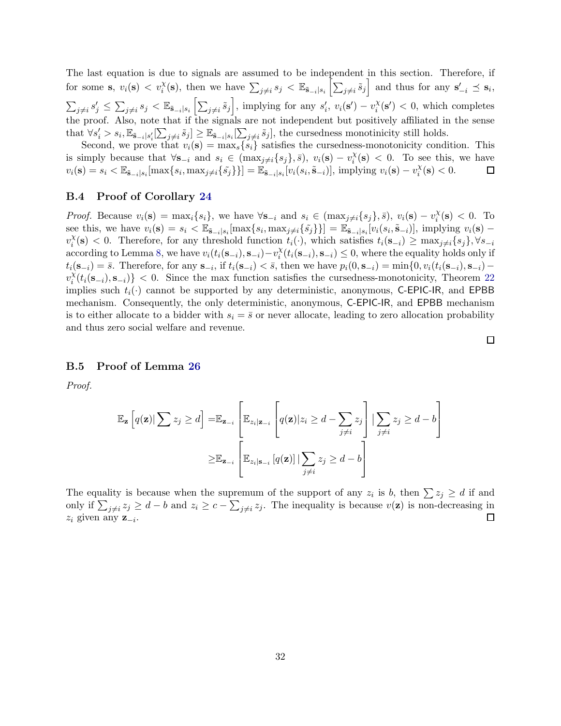The last equation is due to signals are assumed to be independent in this section. Therefore, if for some s,  $v_i(\mathbf{s}) \, < \, v_i^{\chi}(\mathbf{s})$ , then we have  $\sum_{j \neq i} s_j \, < \, \mathbb{E}_{\tilde{\mathbf{s}}_{-i} | s_i} \left[ \sum_{j \neq i} \tilde{s}_j \right]$  and thus for any  $\mathbf{s}'_{-i} \preceq \mathbf{s}_i$ ,  $\sum_{j\neq i} s'_j \leq \sum_{j\neq i} s_j < \mathbb{E}_{\tilde{\mathbf{s}}_{-i}|s_i} \left[ \sum_{j\neq i} \tilde{s}_j \right]$ , implying for any  $s'_i$ ,  $v_i(\mathbf{s}') - v_i^{\chi}$  $\chi_i^{\chi}(\mathbf{s}') < 0$ , which completes the proof. Also, note that if the signals are not independent but positively affiliated in the sense that  $\forall s'_i > s_i, \mathbb{E}_{\tilde{\mathbf{s}}_{-i}|s'_i}[\sum_{j\neq i}\tilde{s}_j] \geq \mathbb{E}_{\tilde{\mathbf{s}}_{-i}|s_i}[\sum_{j\neq i}\tilde{s}_j],$  the cursedness monotinicity still holds.

Second, we prove that  $v_i(\mathbf{s}) = \max_s \{s_i\}$  satisfies the cursedness-monotonicity condition. This is simply because that  $\forall s_{-i}$  and  $s_i \in (\max_{j \neq i} \{s_j\}, \overline{s}), v_i(s) - v_i^{\chi}$  $\lambda_i^{\chi}(\mathbf{s}) < 0$ . To see this, we have  $v_i(\mathbf{s}) = s_i < \mathbb{E}_{\tilde{\mathbf{s}}_{-i}|s_i}[\max\{s_i, \max_{j \neq i} \{\tilde{s}_j\}\}] = \tilde{\mathbb{E}}_{\tilde{\mathbf{s}}_{-i}|s_i}[v_i(s_i, \tilde{\mathbf{s}}_{-i})],$  implying  $v_i(\mathbf{s}) - v_i^{\chi}$  $\chi_i^{\chi}(\mathbf{s}) < 0.$  $\Box$ 

#### B.4 Proof of Corollary [24](#page-23-3)

*Proof.* Because  $v_i(\mathbf{s}) = \max_i \{ s_i \}$ , we have  $\forall \mathbf{s}_{-i}$  and  $s_i \in (\max_{j \neq i} \{ s_j \}, \bar{s}), v_i(\mathbf{s}) - v_i^{\chi}$  $\chi_i^{\chi}(\mathbf{s}) < 0$ . To see this, we have  $v_i(\mathbf{s}) = s_i < \mathbb{E}_{\tilde{\mathbf{s}}_{-i}|s_i}[\max\{s_i, \max_{j \neq i} \{\tilde{s}_j\}\}] = \mathbb{E}_{\tilde{\mathbf{s}}_{-i}|s_i}[v_i(s_i, \tilde{\mathbf{s}}_{-i})]$ , implying  $v_i(\mathbf{s})$  $v_i^{\chi}$  $i_i^{\chi}(\mathbf{s}) < 0$ . Therefore, for any threshold function  $t_i(\cdot)$ , which satisfies  $t_i(\mathbf{s}_{-i}) \ge \max_{j \neq i} \{s_j\}, \forall s_{-i}$ according to Lemma [8,](#page-13-1) we have  $v_i(t_i(\mathbf{s}_{-i}), \mathbf{s}_{-i}) - v_i^{\chi}$  $\chi_i^{\chi}(t_i(\mathbf{s}_{-i}), \mathbf{s}_{-i}) \leq 0$ , where the equality holds only if  $t_i(\mathbf{s}_{-i}) = \bar{s}$ . Therefore, for any  $\mathbf{s}_{-i}$ , if  $t_i(\mathbf{s}_{-i}) < \bar{s}$ , then we have  $p_i(0, \mathbf{s}_{-i}) = \min\{0, v_i(t_i(\mathbf{s}_{-i}), \mathbf{s}_{-i})$  $v_i^{\chi}$  $\binom{x}{i}(t_i(\mathbf{s}_{-i}), \mathbf{s}_{-i})$  < 0. Since the max function satisfies the cursedness-monotonicity, Theorem [22](#page-21-0) implies such  $t_i(\cdot)$  cannot be supported by any deterministic, anonymous, C-EPIC-IR, and EPBB mechanism. Consequently, the only deterministic, anonymous, C-EPIC-IR, and EPBB mechanism is to either allocate to a bidder with  $s_i = \bar{s}$  or never allocate, leading to zero allocation probability and thus zero social welfare and revenue.

#### B.5 Proof of Lemma [26](#page-24-0)

*Proof.*

$$
\mathbb{E}_{\mathbf{z}}\left[q(\mathbf{z})|\sum z_{j} \geq d\right] = \mathbb{E}_{\mathbf{z}_{-i}}\left[\mathbb{E}_{z_{i}|\mathbf{z}_{-i}}\left[q(\mathbf{z})|z_{i} \geq d - \sum_{j \neq i} z_{j}\right] | \sum_{j \neq i} z_{j} \geq d - b\right]
$$

$$
\geq \mathbb{E}_{\mathbf{z}_{-i}}\left[\mathbb{E}_{z_{i}|\mathbf{s}_{-i}}\left[q(\mathbf{z})| |\sum_{j \neq i} z_{j} \geq d - b\right]\right]
$$

The equality is because when the supremum of the support of any  $z_i$  is b, then  $\sum z_j \geq d$  if and only if  $\sum_{j\neq i} z_j \geq d-b$  and  $z_i \geq c-\sum_{j\neq i} z_j$ . The inequality is because  $v(\mathbf{z})$  is non-decreasing in  $z_i$  given any  $z_{-i}$ .  $\Box$ 

 $\Box$